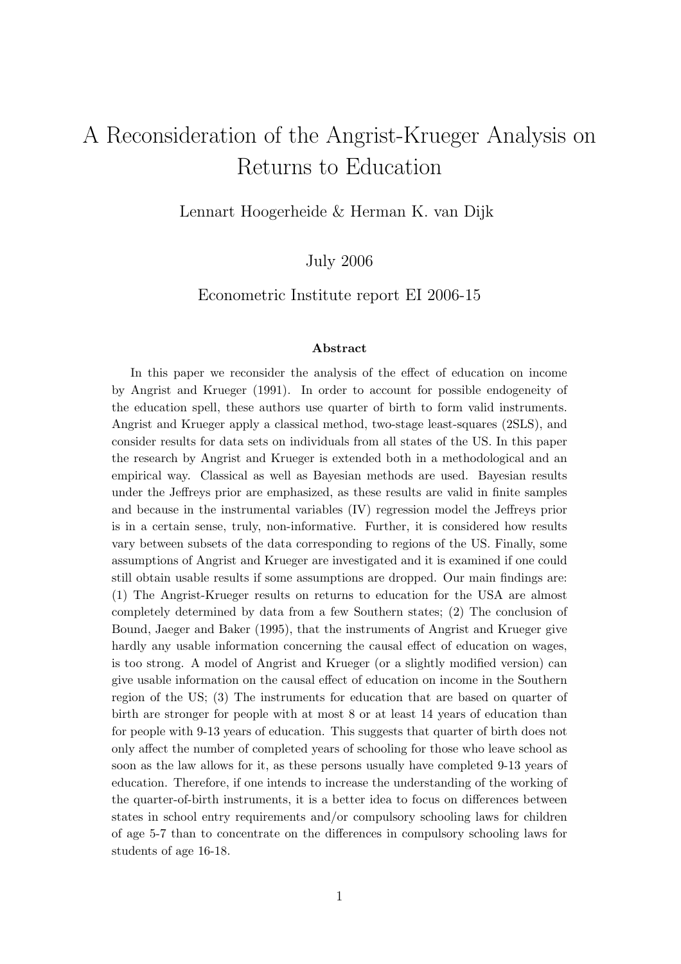# A Reconsideration of the Angrist-Krueger Analysis on Returns to Education

Lennart Hoogerheide & Herman K. van Dijk

July 2006

Econometric Institute report EI 2006-15

#### Abstract

In this paper we reconsider the analysis of the effect of education on income by Angrist and Krueger (1991). In order to account for possible endogeneity of the education spell, these authors use quarter of birth to form valid instruments. Angrist and Krueger apply a classical method, two-stage least-squares (2SLS), and consider results for data sets on individuals from all states of the US. In this paper the research by Angrist and Krueger is extended both in a methodological and an empirical way. Classical as well as Bayesian methods are used. Bayesian results under the Jeffreys prior are emphasized, as these results are valid in finite samples and because in the instrumental variables (IV) regression model the Jeffreys prior is in a certain sense, truly, non-informative. Further, it is considered how results vary between subsets of the data corresponding to regions of the US. Finally, some assumptions of Angrist and Krueger are investigated and it is examined if one could still obtain usable results if some assumptions are dropped. Our main findings are: (1) The Angrist-Krueger results on returns to education for the USA are almost completely determined by data from a few Southern states; (2) The conclusion of Bound, Jaeger and Baker (1995), that the instruments of Angrist and Krueger give hardly any usable information concerning the causal effect of education on wages, is too strong. A model of Angrist and Krueger (or a slightly modified version) can give usable information on the causal effect of education on income in the Southern region of the US; (3) The instruments for education that are based on quarter of birth are stronger for people with at most 8 or at least 14 years of education than for people with 9-13 years of education. This suggests that quarter of birth does not only affect the number of completed years of schooling for those who leave school as soon as the law allows for it, as these persons usually have completed 9-13 years of education. Therefore, if one intends to increase the understanding of the working of the quarter-of-birth instruments, it is a better idea to focus on differences between states in school entry requirements and/or compulsory schooling laws for children of age 5-7 than to concentrate on the differences in compulsory schooling laws for students of age 16-18.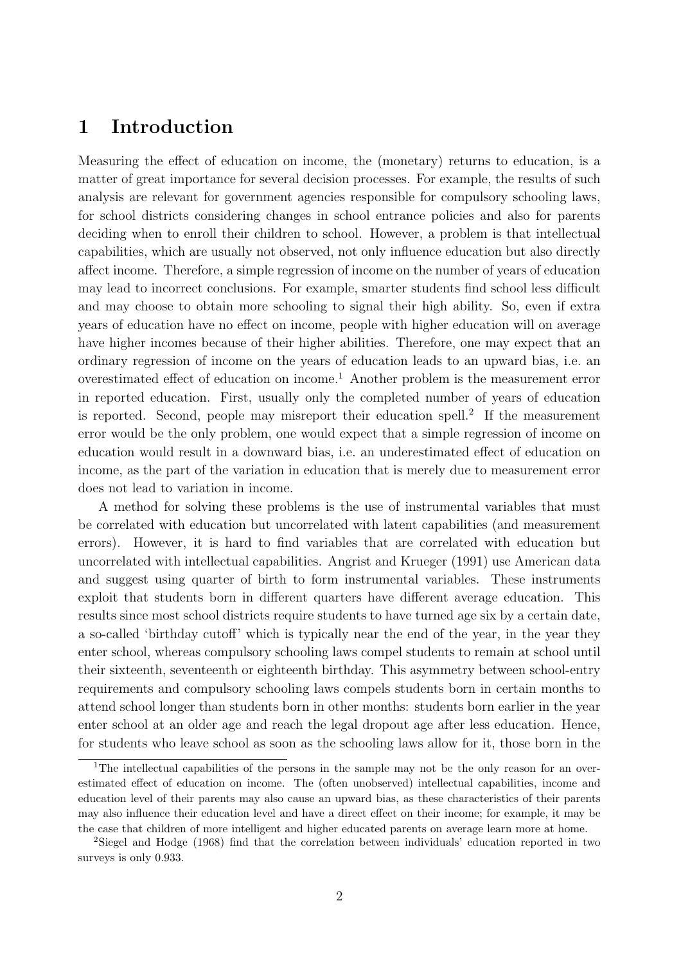#### 1 Introduction

Measuring the effect of education on income, the (monetary) returns to education, is a matter of great importance for several decision processes. For example, the results of such analysis are relevant for government agencies responsible for compulsory schooling laws, for school districts considering changes in school entrance policies and also for parents deciding when to enroll their children to school. However, a problem is that intellectual capabilities, which are usually not observed, not only influence education but also directly affect income. Therefore, a simple regression of income on the number of years of education may lead to incorrect conclusions. For example, smarter students find school less difficult and may choose to obtain more schooling to signal their high ability. So, even if extra years of education have no effect on income, people with higher education will on average have higher incomes because of their higher abilities. Therefore, one may expect that an ordinary regression of income on the years of education leads to an upward bias, i.e. an overestimated effect of education on income.<sup>1</sup> Another problem is the measurement error in reported education. First, usually only the completed number of years of education is reported. Second, people may misreport their education spell.<sup>2</sup> If the measurement error would be the only problem, one would expect that a simple regression of income on education would result in a downward bias, i.e. an underestimated effect of education on income, as the part of the variation in education that is merely due to measurement error does not lead to variation in income.

A method for solving these problems is the use of instrumental variables that must be correlated with education but uncorrelated with latent capabilities (and measurement errors). However, it is hard to find variables that are correlated with education but uncorrelated with intellectual capabilities. Angrist and Krueger (1991) use American data and suggest using quarter of birth to form instrumental variables. These instruments exploit that students born in different quarters have different average education. This results since most school districts require students to have turned age six by a certain date, a so-called 'birthday cutoff' which is typically near the end of the year, in the year they enter school, whereas compulsory schooling laws compel students to remain at school until their sixteenth, seventeenth or eighteenth birthday. This asymmetry between school-entry requirements and compulsory schooling laws compels students born in certain months to attend school longer than students born in other months: students born earlier in the year enter school at an older age and reach the legal dropout age after less education. Hence, for students who leave school as soon as the schooling laws allow for it, those born in the

<sup>&</sup>lt;sup>1</sup>The intellectual capabilities of the persons in the sample may not be the only reason for an overestimated effect of education on income. The (often unobserved) intellectual capabilities, income and education level of their parents may also cause an upward bias, as these characteristics of their parents may also influence their education level and have a direct effect on their income; for example, it may be the case that children of more intelligent and higher educated parents on average learn more at home.

<sup>2</sup>Siegel and Hodge (1968) find that the correlation between individuals' education reported in two surveys is only 0.933.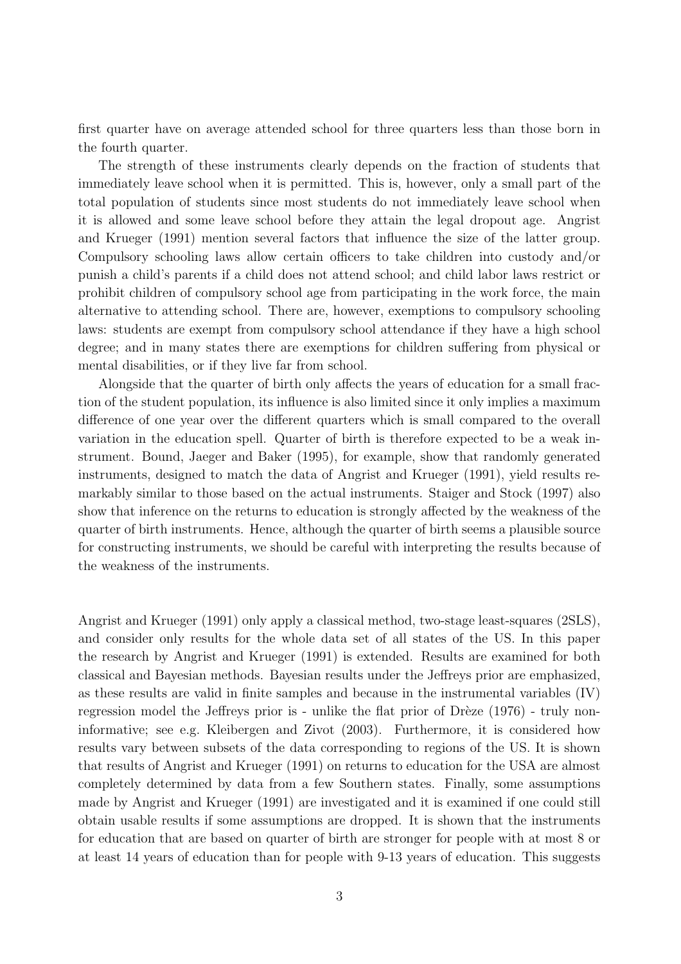first quarter have on average attended school for three quarters less than those born in the fourth quarter.

The strength of these instruments clearly depends on the fraction of students that immediately leave school when it is permitted. This is, however, only a small part of the total population of students since most students do not immediately leave school when it is allowed and some leave school before they attain the legal dropout age. Angrist and Krueger (1991) mention several factors that influence the size of the latter group. Compulsory schooling laws allow certain officers to take children into custody and/or punish a child's parents if a child does not attend school; and child labor laws restrict or prohibit children of compulsory school age from participating in the work force, the main alternative to attending school. There are, however, exemptions to compulsory schooling laws: students are exempt from compulsory school attendance if they have a high school degree; and in many states there are exemptions for children suffering from physical or mental disabilities, or if they live far from school.

Alongside that the quarter of birth only affects the years of education for a small fraction of the student population, its influence is also limited since it only implies a maximum difference of one year over the different quarters which is small compared to the overall variation in the education spell. Quarter of birth is therefore expected to be a weak instrument. Bound, Jaeger and Baker (1995), for example, show that randomly generated instruments, designed to match the data of Angrist and Krueger (1991), yield results remarkably similar to those based on the actual instruments. Staiger and Stock (1997) also show that inference on the returns to education is strongly affected by the weakness of the quarter of birth instruments. Hence, although the quarter of birth seems a plausible source for constructing instruments, we should be careful with interpreting the results because of the weakness of the instruments.

Angrist and Krueger (1991) only apply a classical method, two-stage least-squares (2SLS), and consider only results for the whole data set of all states of the US. In this paper the research by Angrist and Krueger (1991) is extended. Results are examined for both classical and Bayesian methods. Bayesian results under the Jeffreys prior are emphasized, as these results are valid in finite samples and because in the instrumental variables (IV) regression model the Jeffreys prior is - unlike the flat prior of Drèze  $(1976)$  - truly noninformative; see e.g. Kleibergen and Zivot (2003). Furthermore, it is considered how results vary between subsets of the data corresponding to regions of the US. It is shown that results of Angrist and Krueger (1991) on returns to education for the USA are almost completely determined by data from a few Southern states. Finally, some assumptions made by Angrist and Krueger (1991) are investigated and it is examined if one could still obtain usable results if some assumptions are dropped. It is shown that the instruments for education that are based on quarter of birth are stronger for people with at most 8 or at least 14 years of education than for people with 9-13 years of education. This suggests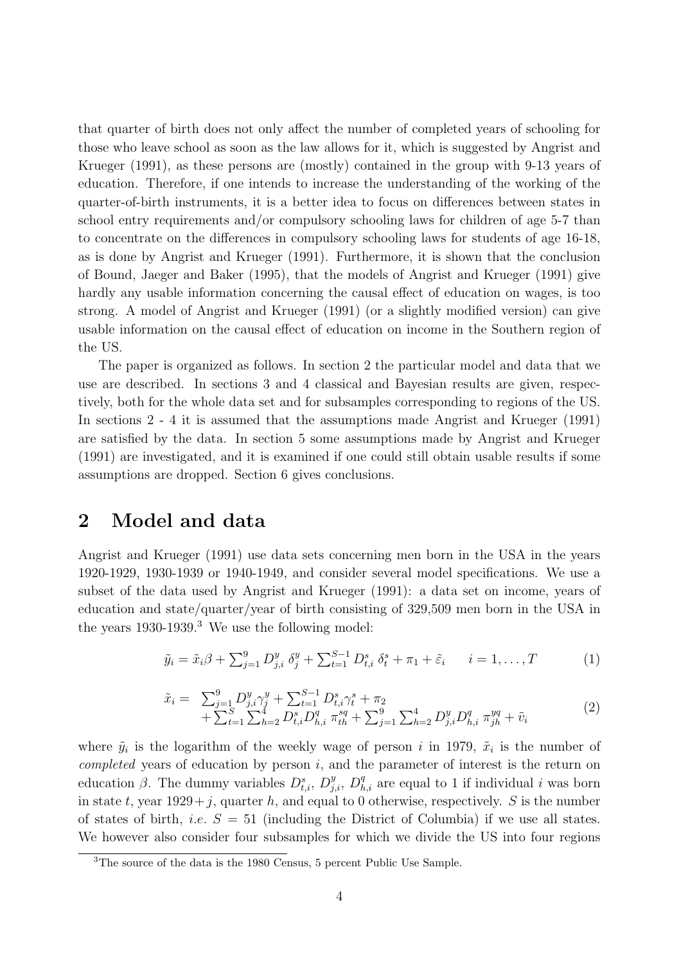that quarter of birth does not only affect the number of completed years of schooling for those who leave school as soon as the law allows for it, which is suggested by Angrist and Krueger (1991), as these persons are (mostly) contained in the group with 9-13 years of education. Therefore, if one intends to increase the understanding of the working of the quarter-of-birth instruments, it is a better idea to focus on differences between states in school entry requirements and/or compulsory schooling laws for children of age 5-7 than to concentrate on the differences in compulsory schooling laws for students of age 16-18, as is done by Angrist and Krueger (1991). Furthermore, it is shown that the conclusion of Bound, Jaeger and Baker (1995), that the models of Angrist and Krueger (1991) give hardly any usable information concerning the causal effect of education on wages, is too strong. A model of Angrist and Krueger (1991) (or a slightly modified version) can give usable information on the causal effect of education on income in the Southern region of the US.

The paper is organized as follows. In section 2 the particular model and data that we use are described. In sections 3 and 4 classical and Bayesian results are given, respectively, both for the whole data set and for subsamples corresponding to regions of the US. In sections 2 - 4 it is assumed that the assumptions made Angrist and Krueger (1991) are satisfied by the data. In section 5 some assumptions made by Angrist and Krueger (1991) are investigated, and it is examined if one could still obtain usable results if some assumptions are dropped. Section 6 gives conclusions.

#### 2 Model and data

Angrist and Krueger (1991) use data sets concerning men born in the USA in the years 1920-1929, 1930-1939 or 1940-1949, and consider several model specifications. We use a subset of the data used by Angrist and Krueger (1991): a data set on income, years of education and state/quarter/year of birth consisting of 329,509 men born in the USA in the years 1930-1939.<sup>3</sup> We use the following model:

$$
\tilde{y}_i = \tilde{x}_i \beta + \sum_{j=1}^9 D_{j,i}^y \ \delta_j^y + \sum_{t=1}^{S-1} D_{t,i}^s \ \delta_t^s + \pi_1 + \tilde{\varepsilon}_i \qquad i = 1, \dots, T \tag{1}
$$

$$
\tilde{x}_i = \sum_{j=1}^9 D_{j,i}^y \gamma_j^y + \sum_{t=1}^{S-1} D_{t,i}^s \gamma_t^s + \pi_2 + \sum_{t=1}^S \sum_{h=2}^4 D_{t,i}^s D_{h,i}^q \pi_{th}^{sq} + \sum_{j=1}^9 \sum_{h=2}^4 D_{j,i}^y D_{h,i}^q \pi_{jh}^{yq} + \tilde{v}_i
$$
\n(2)

where  $\tilde{y}_i$  is the logarithm of the weekly wage of person i in 1979,  $\tilde{x}_i$  is the number of *completed* years of education by person  $i$ , and the parameter of interest is the return on education  $\beta$ . The dummy variables  $D_{t,i}^s$ ,  $D_{j,i}^y$ ,  $D_{h,i}^q$  are equal to 1 if individual *i* was born in state t, year  $1929+j$ , quarter h, and equal to 0 otherwise, respectively. S is the number of states of birth, *i.e.*  $S = 51$  (including the District of Columbia) if we use all states. We however also consider four subsamples for which we divide the US into four regions

<sup>3</sup>The source of the data is the 1980 Census, 5 percent Public Use Sample.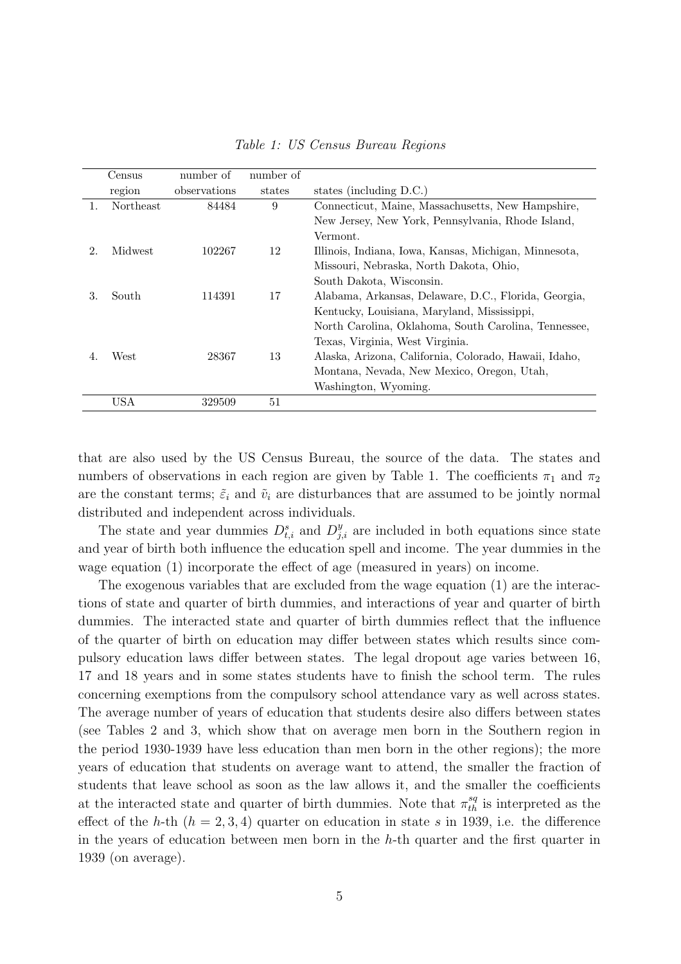|    | Census           | number of    | number of |                                                       |
|----|------------------|--------------|-----------|-------------------------------------------------------|
|    | region           | observations | states    | states (including D.C.)                               |
| 1. | <b>Northeast</b> | 84484        | 9         | Connecticut, Maine, Massachusetts, New Hampshire,     |
|    |                  |              |           | New Jersey, New York, Pennsylvania, Rhode Island,     |
|    |                  |              |           | Vermont.                                              |
| 2. | Midwest          | 102267       | 12        | Illinois, Indiana, Iowa, Kansas, Michigan, Minnesota, |
|    |                  |              |           | Missouri, Nebraska, North Dakota, Ohio,               |
|    |                  |              |           | South Dakota, Wisconsin.                              |
| 3. | South            | 114391       | 17        | Alabama, Arkansas, Delaware, D.C., Florida, Georgia,  |
|    |                  |              |           | Kentucky, Louisiana, Maryland, Mississippi,           |
|    |                  |              |           | North Carolina, Oklahoma, South Carolina, Tennessee,  |
|    |                  |              |           | Texas, Virginia, West Virginia.                       |
| 4. | West             | 28367        | 13        | Alaska, Arizona, California, Colorado, Hawaii, Idaho, |
|    |                  |              |           | Montana, Nevada, New Mexico, Oregon, Utah,            |
|    |                  |              |           | Washington, Wyoming.                                  |
|    | <b>USA</b>       | 329509       | 51        |                                                       |

Table 1: US Census Bureau Regions

that are also used by the US Census Bureau, the source of the data. The states and numbers of observations in each region are given by Table 1. The coefficients  $\pi_1$  and  $\pi_2$ are the constant terms;  $\tilde{\varepsilon}_i$  and  $\tilde{v}_i$  are disturbances that are assumed to be jointly normal distributed and independent across individuals.

The state and year dummies  $D_{t,i}^s$  and  $D_{j,i}^y$  are included in both equations since state and year of birth both influence the education spell and income. The year dummies in the wage equation (1) incorporate the effect of age (measured in years) on income.

The exogenous variables that are excluded from the wage equation (1) are the interactions of state and quarter of birth dummies, and interactions of year and quarter of birth dummies. The interacted state and quarter of birth dummies reflect that the influence of the quarter of birth on education may differ between states which results since compulsory education laws differ between states. The legal dropout age varies between 16, 17 and 18 years and in some states students have to finish the school term. The rules concerning exemptions from the compulsory school attendance vary as well across states. The average number of years of education that students desire also differs between states (see Tables 2 and 3, which show that on average men born in the Southern region in the period 1930-1939 have less education than men born in the other regions); the more years of education that students on average want to attend, the smaller the fraction of students that leave school as soon as the law allows it, and the smaller the coefficients at the interacted state and quarter of birth dummies. Note that  $\pi_{th}^{sq}$  is interpreted as the effect of the h-th  $(h = 2, 3, 4)$  quarter on education in state s in 1939, i.e. the difference in the years of education between men born in the  $h$ -th quarter and the first quarter in 1939 (on average).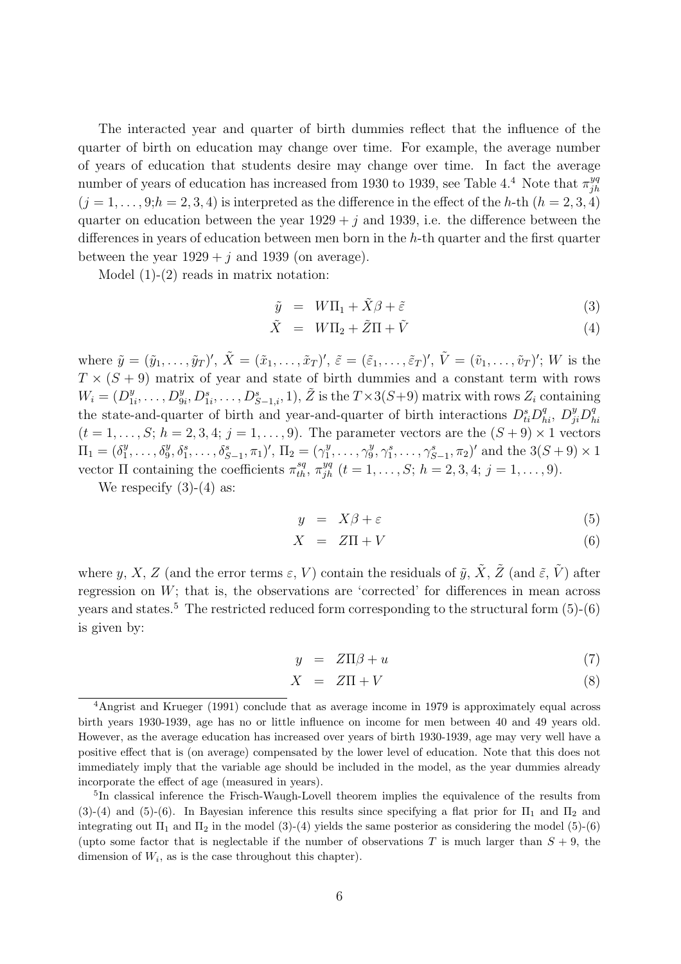The interacted year and quarter of birth dummies reflect that the influence of the quarter of birth on education may change over time. For example, the average number of years of education that students desire may change over time. In fact the average number of years of education has increased from 1930 to 1939, see Table 4.<sup>4</sup> Note that  $\pi_{ih}^{yq}$ jh  $(j = 1, \ldots, 9; h = 2, 3, 4)$  is interpreted as the difference in the effect of the h-th  $(h = 2, 3, 4)$ quarter on education between the year  $1929 + i$  and 1939, i.e. the difference between the differences in years of education between men born in the h-th quarter and the first quarter between the year  $1929 + i$  and 1939 (on average).

Model (1)-(2) reads in matrix notation:

$$
\tilde{y} = W\Pi_1 + \tilde{X}\beta + \tilde{\varepsilon}
$$
\n(3)

$$
\tilde{X} = W\Pi_2 + \tilde{Z}\Pi + \tilde{V}
$$
\n(4)

where  $\tilde{y} = (\tilde{y}_1, \ldots, \tilde{y}_T)'$ ,  $\tilde{X} = (\tilde{x}_1, \ldots, \tilde{x}_T)'$ ,  $\tilde{\varepsilon} = (\tilde{\varepsilon}_1, \ldots, \tilde{\varepsilon}_T)'$ ,  $\tilde{V} = (\tilde{v}_1, \ldots, \tilde{v}_T)'$ ; W is the  $T \times (S + 9)$  matrix of year and state of birth dummies and a constant term with rows  $W_i = (D_1^y)$  $\tilde{D}_{1i}^y, \ldots, D_{9i}^y, D_{1i}^s, \ldots, D_{S-1,i}^s, 1), \tilde{Z} \text{ is the } T \times 3(S+9) \text{ matrix with rows } Z_i \text{ containing } \tilde{Z}$ the state-and-quarter of birth and year-and-quarter of birth interactions  $D_{ti}^s D_{hi}^q$ ,  $D_{ji}^y D_{h}^q$ hi  $(t = 1, \ldots, S; h = 2, 3, 4; j = 1, \ldots, 9)$ . The parameter vectors are the  $(S + 9) \times 1$  vectors  $\Pi_1 = (\delta_1^y)$  $\mathcal{L}_1^y, \ldots, \mathcal{S}_9^y, \mathcal{S}_1^s, \ldots, \mathcal{S}_{S-1}^s, \pi_1)'$ ,  $\Pi_2 = (\gamma_1^y)$  $y_1^y, \ldots, \gamma_9^y$  $\beta_9^y, \gamma_1^s, \ldots, \gamma_{S-1}^s, \pi_2)'$  and the  $3(S+9) \times 1$ vector  $\Pi$  containing the coefficients  $\pi_{th}^{sq}$ ,  $\pi_{jh}^{yq}$   $(t = 1, \ldots, S; h = 2, 3, 4; j = 1, \ldots, 9)$ .

We respecify  $(3)-(4)$  as:

$$
y = X\beta + \varepsilon \tag{5}
$$

$$
X = Z\Pi + V \tag{6}
$$

where y, X, Z (and the error terms  $\varepsilon$ , V) contain the residuals of  $\tilde{y}$ ,  $\tilde{X}$ ,  $\tilde{Z}$  (and  $\tilde{\varepsilon}$ ,  $\tilde{V}$ ) after regression on  $W$ ; that is, the observations are 'corrected' for differences in mean across years and states.<sup>5</sup> The restricted reduced form corresponding to the structural form  $(5)-(6)$ is given by:

$$
y = Z\Pi\beta + u \tag{7}
$$

$$
X = Z\Pi + V \tag{8}
$$

<sup>4</sup>Angrist and Krueger (1991) conclude that as average income in 1979 is approximately equal across birth years 1930-1939, age has no or little influence on income for men between 40 and 49 years old. However, as the average education has increased over years of birth 1930-1939, age may very well have a positive effect that is (on average) compensated by the lower level of education. Note that this does not immediately imply that the variable age should be included in the model, as the year dummies already incorporate the effect of age (measured in years).

<sup>&</sup>lt;sup>5</sup>In classical inference the Frisch-Waugh-Lovell theorem implies the equivalence of the results from (3)-(4) and (5)-(6). In Bayesian inference this results since specifying a flat prior for  $\Pi_1$  and  $\Pi_2$  and integrating out  $\Pi_1$  and  $\Pi_2$  in the model (3)-(4) yields the same posterior as considering the model (5)-(6) (upto some factor that is neglectable if the number of observations T is much larger than  $S + 9$ , the dimension of  $W_i$ , as is the case throughout this chapter).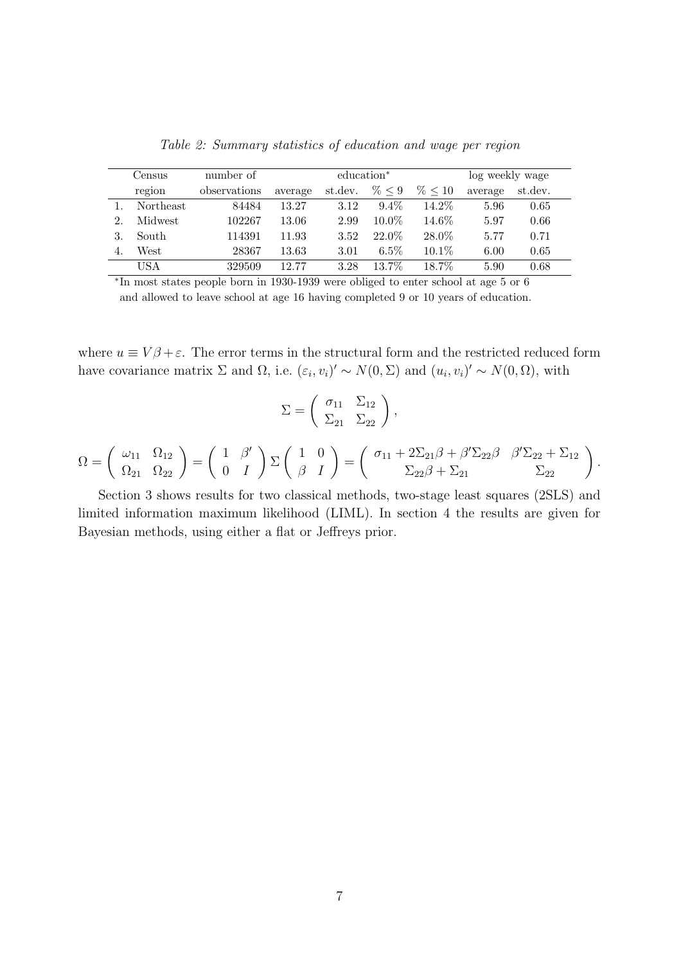|    | Census           | number of    |         | education <sup>*</sup> |          | log weekly wage |         |         |
|----|------------------|--------------|---------|------------------------|----------|-----------------|---------|---------|
|    | region           | observations | average | st.dev.                | % 0.9    | % < 10          | average | st.dev. |
|    | <b>Northeast</b> | 84484        | 13.27   | 3.12                   | $9.4\%$  | $14.2\%$        | 5.96    | 0.65    |
| 2. | Midwest          | 102267       | 13.06   | 2.99                   | $10.0\%$ | 14.6%           | 5.97    | 0.66    |
|    | South            | 114391       | 11.93   | 3.52                   | 22.0%    | 28.0%           | 5.77    | 0.71    |
|    | West             | 28367        | 13.63   | 3.01                   | $6.5\%$  | $10.1\%$        | 6.00    | 0.65    |
|    | USA              | 329509       | 12.77   | 3.28                   | $13.7\%$ | 18.7%           | 5.90    | 0.68    |

Table 2: Summary statistics of education and wage per region

∗ In most states people born in 1930-1939 were obliged to enter school at age 5 or 6 and allowed to leave school at age 16 having completed 9 or 10 years of education.

where  $u \equiv V\beta + \varepsilon$ . The error terms in the structural form and the restricted reduced form have covariance matrix  $\Sigma$  and  $\Omega$ , i.e.  $(\varepsilon_i, v_i)' \sim N(0, \Sigma)$  and  $(u_i, v_i)' \sim N(0, \Omega)$ , with

$$
\Sigma = \begin{pmatrix} \sigma_{11} & \Sigma_{12} \\ \Sigma_{21} & \Sigma_{22} \end{pmatrix},
$$

$$
\Omega = \begin{pmatrix} \omega_{11} & \Omega_{12} \\ \Omega_{21} & \Omega_{22} \end{pmatrix} = \begin{pmatrix} 1 & \beta' \\ 0 & I \end{pmatrix} \Sigma \begin{pmatrix} 1 & 0 \\ \beta & I \end{pmatrix} = \begin{pmatrix} \sigma_{11} + 2\Sigma_{21}\beta + \beta'\Sigma_{22}\beta & \beta'\Sigma_{22} + \Sigma_{12} \\ \Sigma_{22}\beta + \Sigma_{21} & \Sigma_{22} \end{pmatrix}.
$$

Section 3 shows results for two classical methods, two-stage least squares (2SLS) and limited information maximum likelihood (LIML). In section 4 the results are given for Bayesian methods, using either a flat or Jeffreys prior.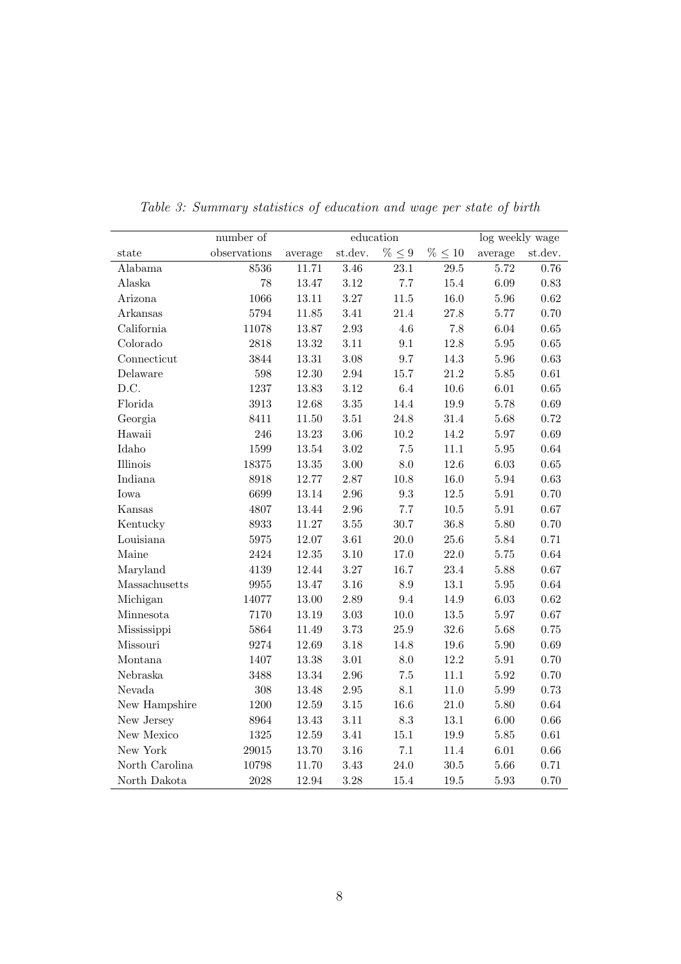|                | number of    | ${\it education}$ |          |                 |              | log weekly wage |            |  |
|----------------|--------------|-------------------|----------|-----------------|--------------|-----------------|------------|--|
| state          | observations | average           | st.dev.  | $\% \leq 9$     | $\% \leq 10$ | average         | st.dev.    |  |
| Alabama        | 8536         | 11.71             | 3.46     | $23.1\,$        | 29.5         | 5.72            | 0.76       |  |
| Alaska         | 78           | 13.47             | $3.12\,$ | 7.7             | $15.4\,$     | 6.09            | 0.83       |  |
| Arizona        | 1066         | 13.11             | 3.27     | $11.5\,$        | $16.0\,$     | $5.96\,$        | 0.62       |  |
| Arkansas       | 5794         | 11.85             | $3.41\,$ | $21.4\,$        | $27.8\,$     | 5.77            | 0.70       |  |
| California     | 11078        | 13.87             | 2.93     | $4.6\,$         | $7.8\,$      | $6.04\,$        | $0.65\,$   |  |
| Colorado       | 2818         | 13.32             | 3.11     | $\,9.1$         | 12.8         | $5.95\,$        | $0.65\,$   |  |
| Connecticut    | 3844         | 13.31             | $3.08\,$ | 9.7             | 14.3         | $5.96\,$        | 0.63       |  |
| Delaware       | 598          | 12.30             | 2.94     | 15.7            | $21.2\,$     | $5.85\,$        | $\rm 0.61$ |  |
| D.C.           | 1237         | 13.83             | $3.12\,$ | $6.4\,$         | $10.6\,$     | $6.01\,$        | $0.65\,$   |  |
| Florida        | 3913         | 12.68             | $3.35\,$ | 14.4            | $19.9\,$     | 5.78            | 0.69       |  |
| Georgia        | 8411         | 11.50             | $3.51\,$ | 24.8            | 31.4         | 5.68            | 0.72       |  |
| Hawaii         | 246          | 13.23             | 3.06     | 10.2            | 14.2         | 5.97            | 0.69       |  |
| Idaho          | 1599         | 13.54             | $3.02\,$ | $7.5\,$         | 11.1         | $5.95\,$        | 0.64       |  |
| Illinois       | 18375        | 13.35             | 3.00     | $8.0\,$         | 12.6         | $6.03\,$        | 0.65       |  |
| Indiana        | 8918         | 12.77             | 2.87     | $10.8\,$        | $16.0\,$     | $5.94\,$        | 0.63       |  |
| Iowa           | 6699         | 13.14             | 2.96     | $\rm 9.3$       | $12.5\,$     | $5.91\,$        | 0.70       |  |
| Kansas         | 4807         | 13.44             | 2.96     | $7.7\,$         | $10.5\,$     | $5.91\,$        | 0.67       |  |
| Kentucky       | 8933         | 11.27             | $3.55\,$ | 30.7            | 36.8         | $5.80\,$        | 0.70       |  |
| Louisiana      | $5975\,$     | 12.07             | $3.61\,$ | $20.0\,$        | $25.6\,$     | 5.84            | 0.71       |  |
| Maine          | 2424         | $12.35\,$         | $3.10\,$ | 17.0            | $22.0\,$     | $5.75\,$        | $\,0.64\,$ |  |
| Maryland       | 4139         | 12.44             | $3.27\,$ | 16.7            | $23.4\,$     | 5.88            | $0.67\,$   |  |
| Massachusetts  | 9955         | 13.47             | $3.16\,$ | $\!\!\!\!\!8.9$ | $13.1\,$     | $5.95\,$        | $\,0.64\,$ |  |
| Michigan       | 14077        | 13.00             | $2.89\,$ | 9.4             | 14.9         | $6.03\,$        | $\rm 0.62$ |  |
| Minnesota      | 7170         | 13.19             | $3.03\,$ | $10.0\,$        | $13.5\,$     | 5.97            | $0.67\,$   |  |
| Mississippi    | 5864         | 11.49             | 3.73     | $25.9\,$        | 32.6         | 5.68            | 0.75       |  |
| Missouri       | 9274         | 12.69             | 3.18     | 14.8            | $19.6\,$     | $5.90\,$        | 0.69       |  |
| Montana        | 1407         | 13.38             | $3.01\,$ | $8.0\,$         | $12.2\,$     | $5.91\,$        | 0.70       |  |
| Nebraska       | 3488         | 13.34             | 2.96     | $7.5\,$         | 11.1         | $5.92\,$        | 0.70       |  |
| Nevada         | 308          | 13.48             | $2.95\,$ | $8.1\,$         | $11.0\,$     | $5.99\,$        | 0.73       |  |
| New Hampshire  | 1200         | 12.59             | $3.15\,$ | 16.6            | $21.0\,$     | $5.80\,$        | 0.64       |  |
| New Jersey     | 8964         | 13.43             | $3.11\,$ | $\!\!\!\!\!8.3$ | $13.1\,$     | $6.00\,$        | 0.66       |  |
| New Mexico     | 1325         | 12.59             | $3.41\,$ | 15.1            | $19.9\,$     | $5.85\,$        | $\rm 0.61$ |  |
| New York       | 29015        | 13.70             | $3.16\,$ | $7.1\,$         | 11.4         | $6.01\,$        | 0.66       |  |
| North Carolina | 10798        | 11.70             | 3.43     | 24.0            | $30.5\,$     | 5.66            | 0.71       |  |
| North Dakota   | 2028         | 12.94             | 3.28     | 15.4            | 19.5         | $5.93\,$        | 0.70       |  |

Table 3: Summary statistics of education and wage per state of birth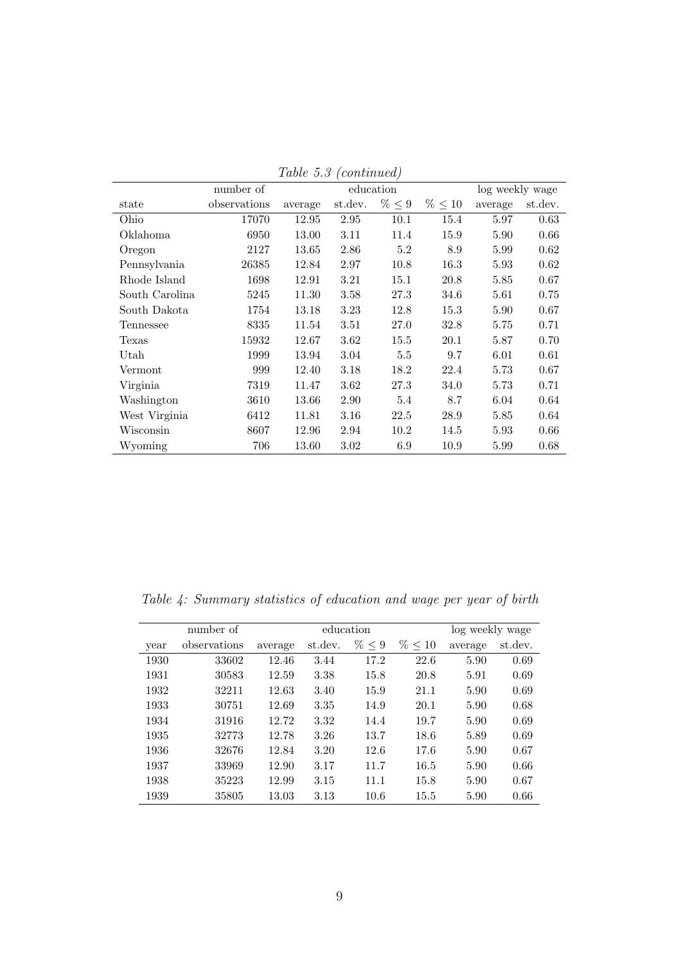|                | number of    | education |         |             | log weekly wage |         |         |
|----------------|--------------|-----------|---------|-------------|-----------------|---------|---------|
| state          | observations | average   | st.dev. | $\% \leq 9$ | $\% \leq 10$    | average | st.dev. |
| Ohio           | 17070        | 12.95     | 2.95    | 10.1        | 15.4            | 5.97    | 0.63    |
| Oklahoma       | 6950         | 13.00     | 3.11    | 11.4        | 15.9            | 5.90    | 0.66    |
| Oregon         | 2127         | 13.65     | 2.86    | 5.2         | 8.9             | 5.99    | 0.62    |
| Pennsylvania   | 26385        | 12.84     | 2.97    | 10.8        | 16.3            | 5.93    | 0.62    |
| Rhode Island   | 1698         | 12.91     | 3.21    | 15.1        | 20.8            | 5.85    | 0.67    |
| South Carolina | 5245         | 11.30     | 3.58    | 27.3        | 34.6            | 5.61    | 0.75    |
| South Dakota   | 1754         | 13.18     | 3.23    | 12.8        | 15.3            | 5.90    | 0.67    |
| Tennessee      | 8335         | 11.54     | 3.51    | 27.0        | 32.8            | 5.75    | 0.71    |
| Texas          | 15932        | 12.67     | 3.62    | 15.5        | 20.1            | 5.87    | 0.70    |
| Utah           | 1999         | 13.94     | 3.04    | 5.5         | 9.7             | 6.01    | 0.61    |
| Vermont        | 999          | 12.40     | 3.18    | 18.2        | 22.4            | 5.73    | 0.67    |
| Virginia       | 7319         | 11.47     | 3.62    | 27.3        | 34.0            | 5.73    | 0.71    |
| Washington     | 3610         | 13.66     | 2.90    | 5.4         | 8.7             | 6.04    | 0.64    |
| West Virginia  | 6412         | 11.81     | 3.16    | 22.5        | 28.9            | 5.85    | 0.64    |
| Wisconsin      | 8607         | 12.96     | 2.94    | 10.2        | 14.5            | 5.93    | 0.66    |
| Wyoming        | 706          | 13.60     | 3.02    | 6.9         | 10.9            | 5.99    | 0.68    |

Table 5.3 (continued)

Table 4: Summary statistics of education and wage per year of birth

|      | number of    |         | education                              |      |      | log weekly wage |         |
|------|--------------|---------|----------------------------------------|------|------|-----------------|---------|
|      | observations |         | $\% \leq 9$<br>$\% \leq 10$<br>st.dev. |      |      |                 | st.dev. |
| year |              | average |                                        |      |      | average         |         |
| 1930 | 33602        | 12.46   | 3.44                                   | 17.2 | 22.6 | 5.90            | 0.69    |
| 1931 | 30583        | 12.59   | 3.38                                   | 15.8 | 20.8 | 5.91            | 0.69    |
| 1932 | 32211        | 12.63   | 3.40                                   | 15.9 | 21.1 | 5.90            | 0.69    |
| 1933 | 30751        | 12.69   | 3.35                                   | 14.9 | 20.1 | 5.90            | 0.68    |
| 1934 | 31916        | 12.72   | 3.32                                   | 14.4 | 19.7 | 5.90            | 0.69    |
| 1935 | 32773        | 12.78   | 3.26                                   | 13.7 | 18.6 | 5.89            | 0.69    |
| 1936 | 32676        | 12.84   | 3.20                                   | 12.6 | 17.6 | 5.90            | 0.67    |
| 1937 | 33969        | 12.90   | 3.17                                   | 11.7 | 16.5 | 5.90            | 0.66    |
| 1938 | 35223        | 12.99   | 3.15                                   | 11.1 | 15.8 | 5.90            | 0.67    |
| 1939 | 35805        | 13.03   | 3.13                                   | 10.6 | 15.5 | 5.90            | 0.66    |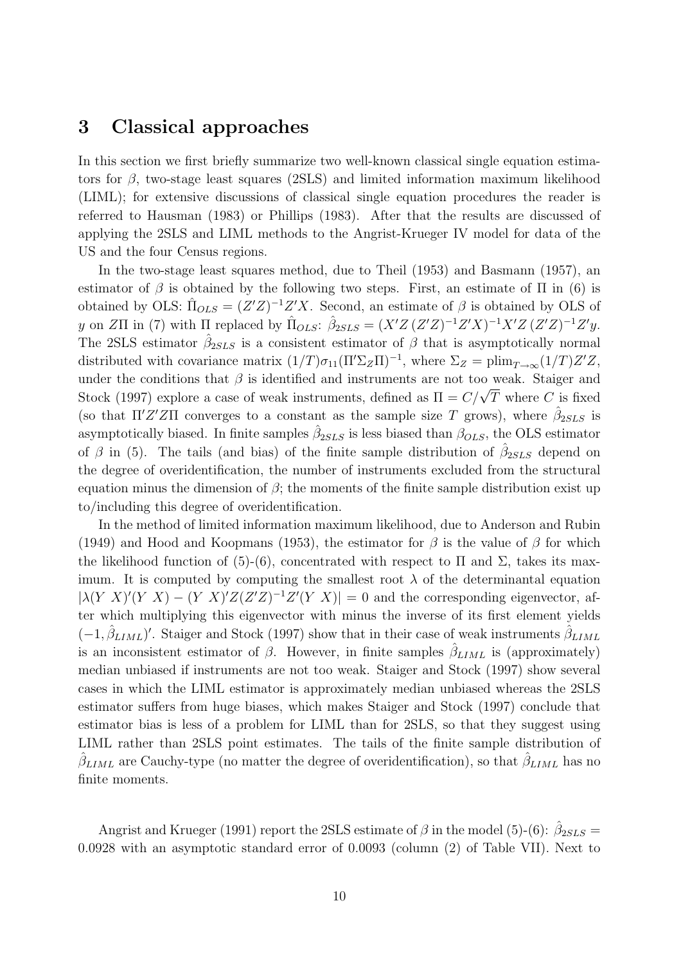### 3 Classical approaches

In this section we first briefly summarize two well-known classical single equation estimators for  $\beta$ , two-stage least squares (2SLS) and limited information maximum likelihood (LIML); for extensive discussions of classical single equation procedures the reader is referred to Hausman (1983) or Phillips (1983). After that the results are discussed of applying the 2SLS and LIML methods to the Angrist-Krueger IV model for data of the US and the four Census regions.

In the two-stage least squares method, due to Theil (1953) and Basmann (1957), an estimator of  $\beta$  is obtained by the following two steps. First, an estimate of  $\Pi$  in (6) is obtained by OLS:  $\hat{\Pi}_{OLS} = (Z'Z)^{-1}Z'X$ . Second, an estimate of  $\beta$  is obtained by OLS of y on ZII in (7) with  $\Pi$  replaced by  $\hat{\Pi}_{OLS}$ :  $\hat{\beta}_{2SLS} = (X'Z (Z'Z)^{-1}Z'X)^{-1}X'Z (Z'Z)^{-1}Z'y$ . The 2SLS estimator  $\hat{\beta}_{2SLS}$  is a consistent estimator of  $\beta$  that is asymptotically normal distributed with covariance matrix  $(1/T)\sigma_{11}(\Pi'\Sigma_Z\Pi)^{-1}$ , where  $\Sigma_Z = \text{plim}_{T\to\infty}(1/T)Z'Z$ , under the conditions that  $\beta$  is identified and instruments are not too weak. Staiger and under the conditions that  $\rho$  is identified and instruments are not too weak. Starger and<br>Stock (1997) explore a case of weak instruments, defined as  $\Pi = C/\sqrt{T}$  where C is fixed (so that  $\Pi'Z'Z\Pi$  converges to a constant as the sample size T grows), where  $\hat{\beta}_{2SLS}$  is asymptotically biased. In finite samples  $\hat{\beta}_{2SLS}$  is less biased than  $\beta_{OLS}$ , the OLS estimator of  $\beta$  in (5). The tails (and bias) of the finite sample distribution of  $\hat{\beta}_{2SLS}$  depend on the degree of overidentification, the number of instruments excluded from the structural equation minus the dimension of  $\beta$ ; the moments of the finite sample distribution exist up to/including this degree of overidentification.

In the method of limited information maximum likelihood, due to Anderson and Rubin (1949) and Hood and Koopmans (1953), the estimator for  $\beta$  is the value of  $\beta$  for which the likelihood function of (5)-(6), concentrated with respect to  $\Pi$  and  $\Sigma$ , takes its maximum. It is computed by computing the smallest root  $\lambda$  of the determinantal equation  $|\lambda(Y|X)'(Y|X) - (Y|X)'Z(Z'Z)^{-1}Z'(Y|X)| = 0$  and the corresponding eigenvector, after which multiplying this eigenvector with minus the inverse of its first element yields  $(-1, \hat{\beta}_{LIML})'$ . Staiger and Stock (1997) show that in their case of weak instruments  $\hat{\beta}_{LIML}$ is an inconsistent estimator of  $\beta$ . However, in finite samples  $\hat{\beta}_{LIML}$  is (approximately) median unbiased if instruments are not too weak. Staiger and Stock (1997) show several cases in which the LIML estimator is approximately median unbiased whereas the 2SLS estimator suffers from huge biases, which makes Staiger and Stock (1997) conclude that estimator bias is less of a problem for LIML than for 2SLS, so that they suggest using LIML rather than 2SLS point estimates. The tails of the finite sample distribution of  $\hat{\beta}_{LIML}$  are Cauchy-type (no matter the degree of overidentification), so that  $\hat{\beta}_{LIML}$  has no finite moments.

Angrist and Krueger (1991) report the 2SLS estimate of  $\beta$  in the model (5)-(6):  $\hat{\beta}_{2SLS}$  = 0.0928 with an asymptotic standard error of 0.0093 (column (2) of Table VII). Next to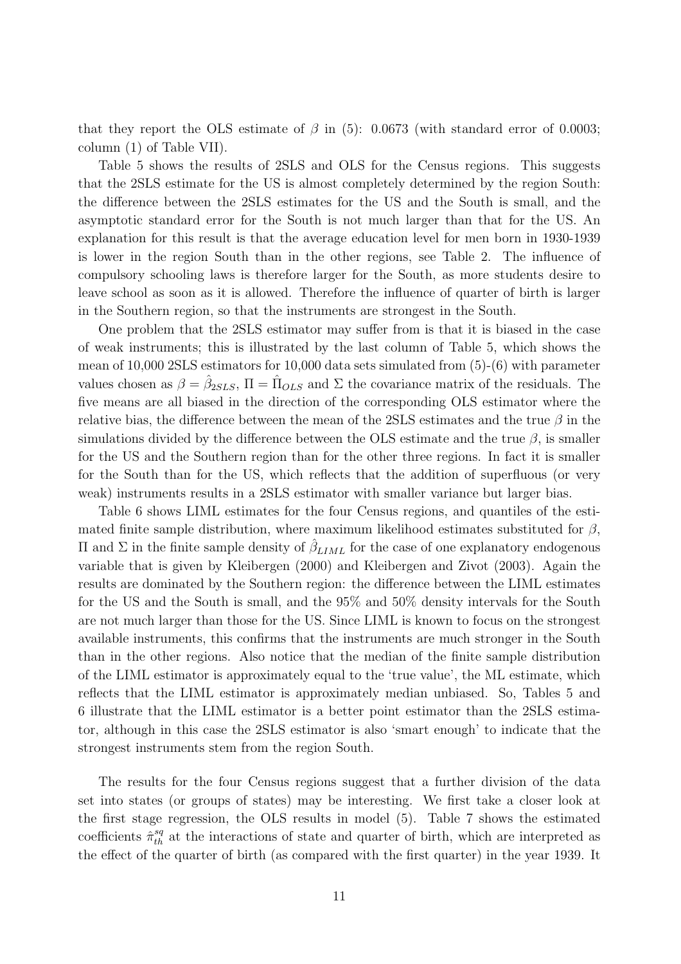that they report the OLS estimate of  $\beta$  in (5): 0.0673 (with standard error of 0.0003; column (1) of Table VII).

Table 5 shows the results of 2SLS and OLS for the Census regions. This suggests that the 2SLS estimate for the US is almost completely determined by the region South: the difference between the 2SLS estimates for the US and the South is small, and the asymptotic standard error for the South is not much larger than that for the US. An explanation for this result is that the average education level for men born in 1930-1939 is lower in the region South than in the other regions, see Table 2. The influence of compulsory schooling laws is therefore larger for the South, as more students desire to leave school as soon as it is allowed. Therefore the influence of quarter of birth is larger in the Southern region, so that the instruments are strongest in the South.

One problem that the 2SLS estimator may suffer from is that it is biased in the case of weak instruments; this is illustrated by the last column of Table 5, which shows the mean of 10,000 2SLS estimators for 10,000 data sets simulated from (5)-(6) with parameter values chosen as  $\beta = \hat{\beta}_{2SLS}$ ,  $\Pi = \hat{\Pi}_{OLS}$  and  $\Sigma$  the covariance matrix of the residuals. The five means are all biased in the direction of the corresponding OLS estimator where the relative bias, the difference between the mean of the 2SLS estimates and the true  $\beta$  in the simulations divided by the difference between the OLS estimate and the true  $\beta$ , is smaller for the US and the Southern region than for the other three regions. In fact it is smaller for the South than for the US, which reflects that the addition of superfluous (or very weak) instruments results in a 2SLS estimator with smaller variance but larger bias.

Table 6 shows LIML estimates for the four Census regions, and quantiles of the estimated finite sample distribution, where maximum likelihood estimates substituted for  $\beta$ , Π and Σ in the finite sample density of  $\hat{\beta}_{LIML}$  for the case of one explanatory endogenous variable that is given by Kleibergen (2000) and Kleibergen and Zivot (2003). Again the results are dominated by the Southern region: the difference between the LIML estimates for the US and the South is small, and the 95% and 50% density intervals for the South are not much larger than those for the US. Since LIML is known to focus on the strongest available instruments, this confirms that the instruments are much stronger in the South than in the other regions. Also notice that the median of the finite sample distribution of the LIML estimator is approximately equal to the 'true value', the ML estimate, which reflects that the LIML estimator is approximately median unbiased. So, Tables 5 and 6 illustrate that the LIML estimator is a better point estimator than the 2SLS estimator, although in this case the 2SLS estimator is also 'smart enough' to indicate that the strongest instruments stem from the region South.

The results for the four Census regions suggest that a further division of the data set into states (or groups of states) may be interesting. We first take a closer look at the first stage regression, the OLS results in model (5). Table 7 shows the estimated coefficients  $\hat{\pi}_{th}^{sq}$  at the interactions of state and quarter of birth, which are interpreted as the effect of the quarter of birth (as compared with the first quarter) in the year 1939. It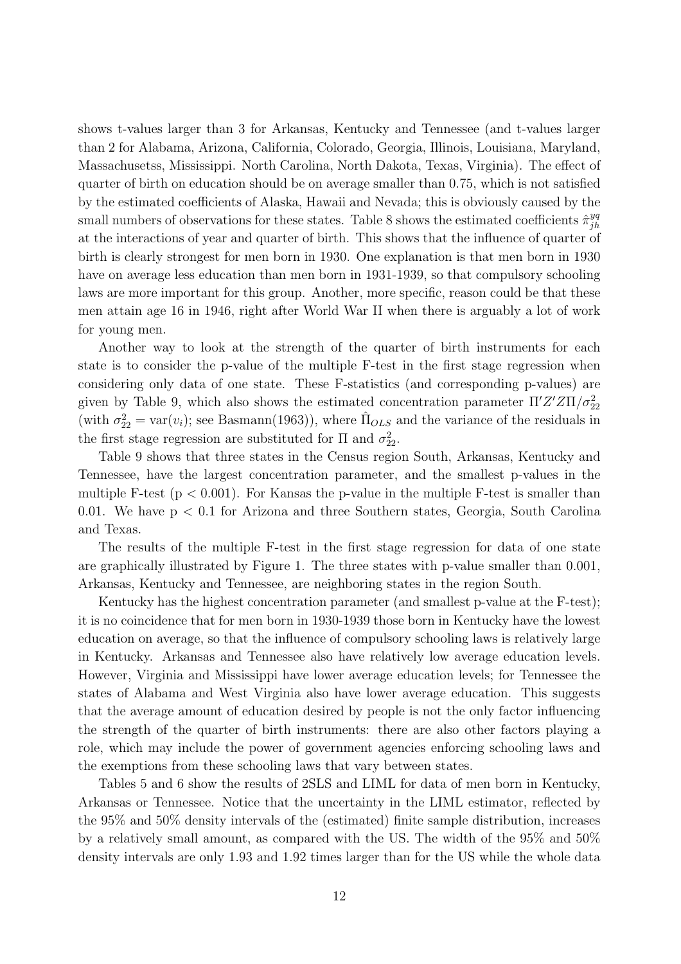shows t-values larger than 3 for Arkansas, Kentucky and Tennessee (and t-values larger than 2 for Alabama, Arizona, California, Colorado, Georgia, Illinois, Louisiana, Maryland, Massachusetss, Mississippi. North Carolina, North Dakota, Texas, Virginia). The effect of quarter of birth on education should be on average smaller than 0.75, which is not satisfied by the estimated coefficients of Alaska, Hawaii and Nevada; this is obviously caused by the small numbers of observations for these states. Table 8 shows the estimated coefficients  $\hat{\pi}_{ih}^{yq}$ jh at the interactions of year and quarter of birth. This shows that the influence of quarter of birth is clearly strongest for men born in 1930. One explanation is that men born in 1930 have on average less education than men born in 1931-1939, so that compulsory schooling laws are more important for this group. Another, more specific, reason could be that these men attain age 16 in 1946, right after World War II when there is arguably a lot of work for young men.

Another way to look at the strength of the quarter of birth instruments for each state is to consider the p-value of the multiple F-test in the first stage regression when considering only data of one state. These F-statistics (and corresponding p-values) are given by Table 9, which also shows the estimated concentration parameter  $\Pi' Z' Z \Pi / \sigma_{22}^2$ (with  $\sigma_{22}^2 = \text{var}(v_i)$ ; see Basmann(1963)), where  $\hat{\Pi}_{OLS}$  and the variance of the residuals in the first stage regression are substituted for  $\Pi$  and  $\sigma_{22}^2$ .

Table 9 shows that three states in the Census region South, Arkansas, Kentucky and Tennessee, have the largest concentration parameter, and the smallest p-values in the multiple F-test ( $p < 0.001$ ). For Kansas the p-value in the multiple F-test is smaller than 0.01. We have  $p < 0.1$  for Arizona and three Southern states, Georgia, South Carolina and Texas.

The results of the multiple F-test in the first stage regression for data of one state are graphically illustrated by Figure 1. The three states with p-value smaller than 0.001, Arkansas, Kentucky and Tennessee, are neighboring states in the region South.

Kentucky has the highest concentration parameter (and smallest p-value at the F-test); it is no coincidence that for men born in 1930-1939 those born in Kentucky have the lowest education on average, so that the influence of compulsory schooling laws is relatively large in Kentucky. Arkansas and Tennessee also have relatively low average education levels. However, Virginia and Mississippi have lower average education levels; for Tennessee the states of Alabama and West Virginia also have lower average education. This suggests that the average amount of education desired by people is not the only factor influencing the strength of the quarter of birth instruments: there are also other factors playing a role, which may include the power of government agencies enforcing schooling laws and the exemptions from these schooling laws that vary between states.

Tables 5 and 6 show the results of 2SLS and LIML for data of men born in Kentucky, Arkansas or Tennessee. Notice that the uncertainty in the LIML estimator, reflected by the 95% and 50% density intervals of the (estimated) finite sample distribution, increases by a relatively small amount, as compared with the US. The width of the 95% and 50% density intervals are only 1.93 and 1.92 times larger than for the US while the whole data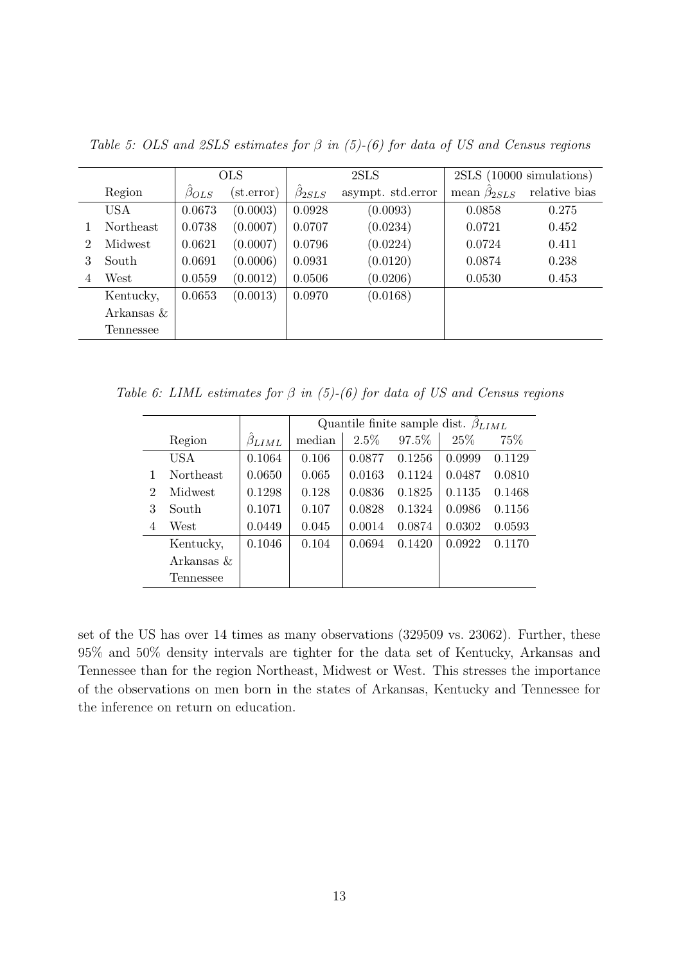|                |            |               | <b>OLS</b>          |                | 2SLS              |                     | 2SLS (10000 simulations) |
|----------------|------------|---------------|---------------------|----------------|-------------------|---------------------|--------------------------|
|                | Region     | $\beta_{OLS}$ | $(\text{st.error})$ | $\beta_{2SLS}$ | asympt. std.error | mean $\beta_{2SLS}$ | relative bias            |
|                | <b>USA</b> | 0.0673        | (0.0003)            | 0.0928         | (0.0093)          | 0.0858              | 0.275                    |
|                | Northeast  | 0.0738        | (0.0007)            | 0.0707         | (0.0234)          | 0.0721              | 0.452                    |
| $\overline{2}$ | Midwest    | 0.0621        | (0.0007)            | 0.0796         | (0.0224)          | 0.0724              | 0.411                    |
| 3              | South      | 0.0691        | (0.0006)            | 0.0931         | (0.0120)          | 0.0874              | 0.238                    |
| 4              | West       | 0.0559        | (0.0012)            | 0.0506         | (0.0206)          | 0.0530              | 0.453                    |
|                | Kentucky,  | 0.0653        | (0.0013)            | 0.0970         | (0.0168)          |                     |                          |
|                | Arkansas & |               |                     |                |                   |                     |                          |
|                | Tennessee  |               |                     |                |                   |                     |                          |

Table 5: OLS and 2SLS estimates for  $\beta$  in (5)-(6) for data of US and Census regions

Table 6: LIML estimates for  $\beta$  in (5)-(6) for data of US and Census regions

|   |                  |                |        |        | Quantile finite sample dist. $\beta_{LIML}$ |        |        |
|---|------------------|----------------|--------|--------|---------------------------------------------|--------|--------|
|   | Region           | $\beta_{LIML}$ | median | 2.5%   | 97.5%                                       | 25\%   | 75\%   |
|   | <b>USA</b>       | 0.1064         | 0.106  | 0.0877 | 0.1256                                      | 0.0999 | 0.1129 |
|   | <b>Northeast</b> | 0.0650         | 0.065  | 0.0163 | 0.1124                                      | 0.0487 | 0.0810 |
| 2 | Midwest          | 0.1298         | 0.128  | 0.0836 | 0.1825                                      | 0.1135 | 0.1468 |
| 3 | South            | 0.1071         | 0.107  | 0.0828 | 0.1324                                      | 0.0986 | 0.1156 |
| 4 | West             | 0.0449         | 0.045  | 0.0014 | 0.0874                                      | 0.0302 | 0.0593 |
|   | Kentucky,        | 0.1046         | 0.104  | 0.0694 | 0.1420                                      | 0.0922 | 0.1170 |
|   | Arkansas &       |                |        |        |                                             |        |        |
|   | Tennessee        |                |        |        |                                             |        |        |

set of the US has over 14 times as many observations (329509 vs. 23062). Further, these 95% and 50% density intervals are tighter for the data set of Kentucky, Arkansas and Tennessee than for the region Northeast, Midwest or West. This stresses the importance of the observations on men born in the states of Arkansas, Kentucky and Tennessee for the inference on return on education.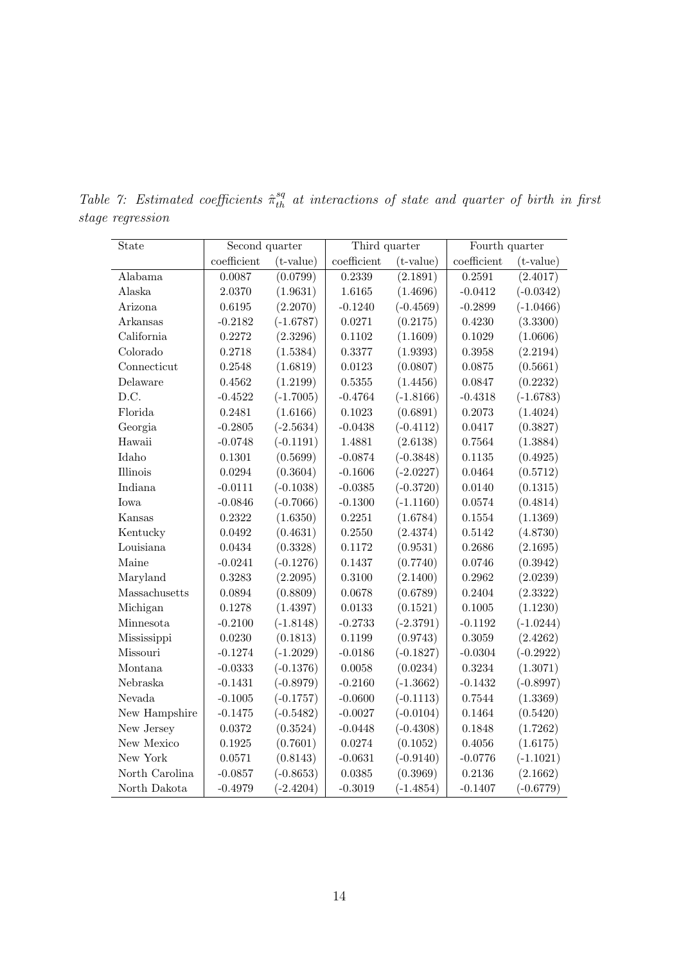| State          | Second quarter |             | Third quarter |             | Fourth quarter |             |  |
|----------------|----------------|-------------|---------------|-------------|----------------|-------------|--|
|                | $coefficient$  | $(t-value)$ | $coefficient$ | $(t-value)$ | $coefficient$  | $(t-value)$ |  |
| Alabama        | 0.0087         | (0.0799)    | 0.2339        | (2.1891)    | 0.2591         | (2.4017)    |  |
| Alaska         | 2.0370         | (1.9631)    | 1.6165        | (1.4696)    | $-0.0412$      | $(-0.0342)$ |  |
| Arizona        | 0.6195         | (2.2070)    | $-0.1240$     | $(-0.4569)$ | $-0.2899$      | $(-1.0466)$ |  |
| Arkansas       | $-0.2182$      | $(-1.6787)$ | 0.0271        | (0.2175)    | 0.4230         | (3.3300)    |  |
| California     | 0.2272         | (2.3296)    | 0.1102        | (1.1609)    | 0.1029         | (1.0606)    |  |
| Colorado       | 0.2718         | (1.5384)    | 0.3377        | (1.9393)    | 0.3958         | (2.2194)    |  |
| Connecticut    | 0.2548         | (1.6819)    | 0.0123        | (0.0807)    | 0.0875         | (0.5661)    |  |
| Delaware       | 0.4562         | (1.2199)    | $0.5355\,$    | (1.4456)    | 0.0847         | (0.2232)    |  |
| D.C.           | $-0.4522$      | $(-1.7005)$ | $-0.4764$     | $(-1.8166)$ | $-0.4318$      | $(-1.6783)$ |  |
| Florida        | 0.2481         | (1.6166)    | 0.1023        | (0.6891)    | 0.2073         | (1.4024)    |  |
| Georgia        | $-0.2805$      | $(-2.5634)$ | $-0.0438$     | $(-0.4112)$ | 0.0417         | (0.3827)    |  |
| Hawaii         | $-0.0748$      | $(-0.1191)$ | 1.4881        | (2.6138)    | 0.7564         | (1.3884)    |  |
| Idaho          | 0.1301         | (0.5699)    | $-0.0874$     | $(-0.3848)$ | 0.1135         | (0.4925)    |  |
| Illinois       | 0.0294         | (0.3604)    | $-0.1606$     | $(-2.0227)$ | 0.0464         | (0.5712)    |  |
| Indiana        | $-0.0111$      | $(-0.1038)$ | $-0.0385$     | $(-0.3720)$ | 0.0140         | (0.1315)    |  |
| Iowa           | $-0.0846$      | $(-0.7066)$ | $-0.1300$     | $(-1.1160)$ | 0.0574         | (0.4814)    |  |
| Kansas         | 0.2322         | (1.6350)    | 0.2251        | (1.6784)    | 0.1554         | (1.1369)    |  |
| Kentucky       | 0.0492         | (0.4631)    | 0.2550        | (2.4374)    | 0.5142         | (4.8730)    |  |
| Louisiana      | 0.0434         | (0.3328)    | 0.1172        | (0.9531)    | 0.2686         | (2.1695)    |  |
| Maine          | $-0.0241$      | $(-0.1276)$ | $0.1437\,$    | (0.7740)    | 0.0746         | (0.3942)    |  |
| Maryland       | 0.3283         | (2.2095)    | 0.3100        | (2.1400)    | 0.2962         | (2.0239)    |  |
| Massachusetts  | 0.0894         | (0.8809)    | 0.0678        | (0.6789)    | 0.2404         | (2.3322)    |  |
| Michigan       | 0.1278         | (1.4397)    | 0.0133        | (0.1521)    | 0.1005         | (1.1230)    |  |
| Minnesota      | $-0.2100$      | $(-1.8148)$ | $-0.2733$     | $(-2.3791)$ | $-0.1192$      | $(-1.0244)$ |  |
| Mississippi    | 0.0230         | (0.1813)    | 0.1199        | (0.9743)    | 0.3059         | (2.4262)    |  |
| Missouri       | $-0.1274$      | $(-1.2029)$ | $-0.0186$     | $(-0.1827)$ | $-0.0304$      | $(-0.2922)$ |  |
| Montana        | $-0.0333$      | $(-0.1376)$ | 0.0058        | (0.0234)    | 0.3234         | (1.3071)    |  |
| Nebraska       | $-0.1431$      | $(-0.8979)$ | $-0.2160$     | $(-1.3662)$ | $-0.1432$      | $(-0.8997)$ |  |
| Nevada         | $-0.1005$      | $(-0.1757)$ | $-0.0600$     | $(-0.1113)$ | 0.7544         | (1.3369)    |  |
| New Hampshire  | $-0.1475$      | $(-0.5482)$ | $-0.0027$     | $(-0.0104)$ | 0.1464         | (0.5420)    |  |
| New Jersey     | 0.0372         | (0.3524)    | $-0.0448$     | $(-0.4308)$ | 0.1848         | (1.7262)    |  |
| New Mexico     | 0.1925         | (0.7601)    | 0.0274        | (0.1052)    | 0.4056         | (1.6175)    |  |
| New York       | 0.0571         | (0.8143)    | $-0.0631$     | $(-0.9140)$ | $-0.0776$      | $(-1.1021)$ |  |
| North Carolina | $-0.0857$      | $(-0.8653)$ | 0.0385        | (0.3969)    | 0.2136         | (2.1662)    |  |
| North Dakota   | $-0.4979$      | $(-2.4204)$ | $-0.3019$     | $(-1.4854)$ | $-0.1407$      | $(-0.6779)$ |  |

Table 7: Estimated coefficients  $\hat{\pi}_{th}^{sq}$  at interactions of state and quarter of birth in first stage regression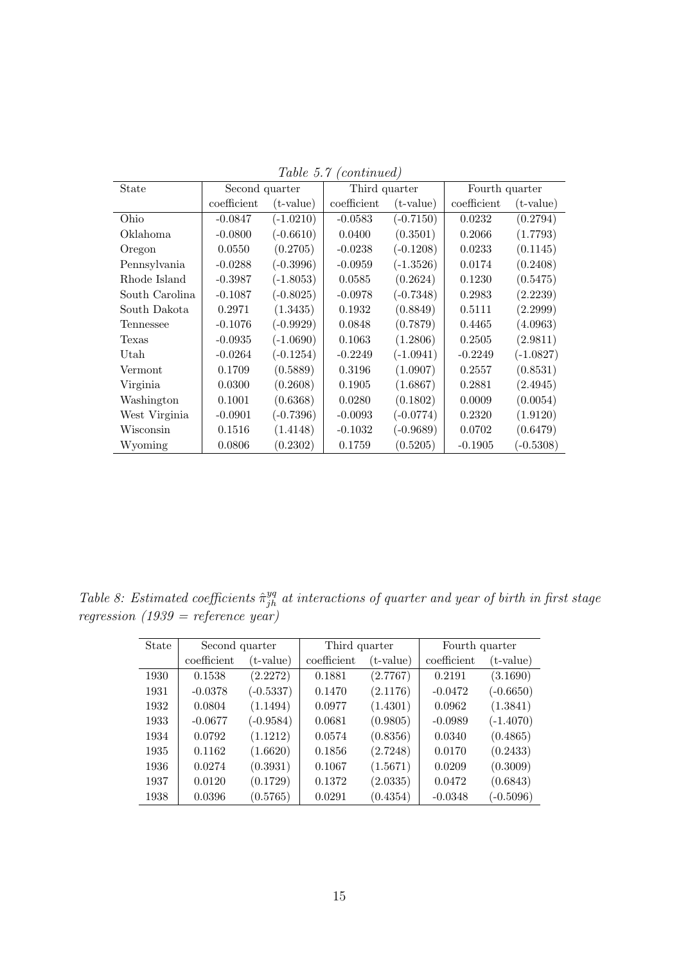| State          | Second quarter |             | Third quarter |             | Fourth quarter |             |
|----------------|----------------|-------------|---------------|-------------|----------------|-------------|
|                | coefficient    | $(t-value)$ | coefficient   | $(t-value)$ | coefficient    | $(t-value)$ |
| Ohio           | $-0.0847$      | $(-1.0210)$ | $-0.0583$     | $(-0.7150)$ | 0.0232         | (0.2794)    |
| Oklahoma       | $-0.0800$      | $(-0.6610)$ | 0.0400        | (0.3501)    | 0.2066         | (1.7793)    |
| Oregon         | 0.0550         | (0.2705)    | $-0.0238$     | $(-0.1208)$ | 0.0233         | (0.1145)    |
| Pennsylvania   | $-0.0288$      | $(-0.3996)$ | $-0.0959$     | $(-1.3526)$ | 0.0174         | (0.2408)    |
| Rhode Island   | $-0.3987$      | $(-1.8053)$ | 0.0585        | (0.2624)    | 0.1230         | (0.5475)    |
| South Carolina | $-0.1087$      | $(-0.8025)$ | $-0.0978$     | $(-0.7348)$ | 0.2983         | (2.2239)    |
| South Dakota   | 0.2971         | (1.3435)    | 0.1932        | (0.8849)    | 0.5111         | (2.2999)    |
| Tennessee      | $-0.1076$      | $(-0.9929)$ | 0.0848        | (0.7879)    | 0.4465         | (4.0963)    |
| Texas          | $-0.0935$      | $(-1.0690)$ | 0.1063        | (1.2806)    | 0.2505         | (2.9811)    |
| Utah           | $-0.0264$      | $(-0.1254)$ | $-0.2249$     | $(-1.0941)$ | $-0.2249$      | $(-1.0827)$ |
| Vermont        | 0.1709         | (0.5889)    | 0.3196        | (1.0907)    | 0.2557         | (0.8531)    |
| Virginia       | 0.0300         | (0.2608)    | 0.1905        | (1.6867)    | 0.2881         | (2.4945)    |
| Washington     | 0.1001         | (0.6368)    | 0.0280        | (0.1802)    | 0.0009         | (0.0054)    |
| West Virginia  | $-0.0901$      | $(-0.7396)$ | $-0.0093$     | $(-0.0774)$ | 0.2320         | (1.9120)    |
| Wisconsin      | 0.1516         | (1.4148)    | $-0.1032$     | $(-0.9689)$ | 0.0702         | (0.6479)    |
| Wyoming        | 0.0806         | (0.2302)    | 0.1759        | (0.5205)    | $-0.1905$      | $(-0.5308)$ |

Table 5.7 (continued)

Table 8: Estimated coefficients  $\hat{\pi}_{jh}^{yq}$  at interactions of quarter and year of birth in first stage regression (1939 = reference year)

| State | Second quarter |             | Third quarter |             | Fourth quarter |             |
|-------|----------------|-------------|---------------|-------------|----------------|-------------|
|       | coefficient    | $(t-value)$ | coefficient   | $(t-value)$ | coefficient    | $(t-value)$ |
| 1930  | 0.1538         | (2.2272)    | 0.1881        | (2.7767)    | 0.2191         | (3.1690)    |
| 1931  | $-0.0378$      | $(-0.5337)$ | 0.1470        | (2.1176)    | $-0.0472$      | $(-0.6650)$ |
| 1932  | 0.0804         | (1.1494)    | 0.0977        | (1.4301)    | 0.0962         | (1.3841)    |
| 1933  | $-0.0677$      | $(-0.9584)$ | 0.0681        | (0.9805)    | $-0.0989$      | $(-1.4070)$ |
| 1934  | 0.0792         | (1.1212)    | 0.0574        | (0.8356)    | 0.0340         | (0.4865)    |
| 1935  | 0.1162         | (1.6620)    | 0.1856        | (2.7248)    | 0.0170         | (0.2433)    |
| 1936  | 0.0274         | (0.3931)    | 0.1067        | (1.5671)    | 0.0209         | (0.3009)    |
| 1937  | 0.0120         | (0.1729)    | 0.1372        | (2.0335)    | 0.0472         | (0.6843)    |
| 1938  | 0.0396         | (0.5765)    | 0.0291        | (0.4354)    | $-0.0348$      | $(-0.5096)$ |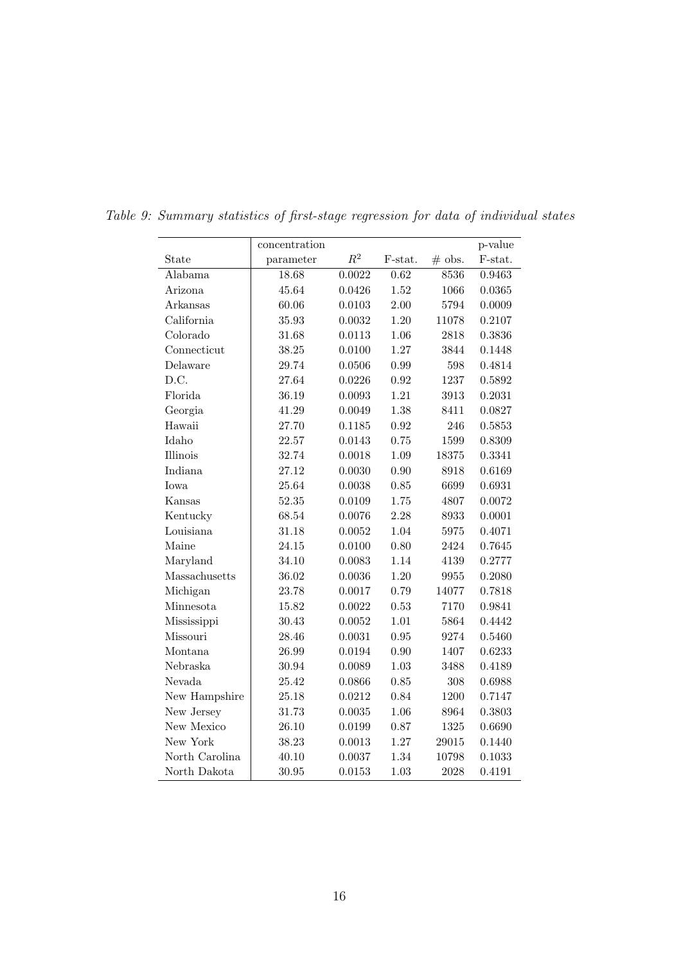|                | concentration |        |          |          | p-value |
|----------------|---------------|--------|----------|----------|---------|
| State          | parameter     | $R^2$  | F-stat.  | $#$ obs. | F-stat. |
| Alabama        | 18.68         | 0.0022 | 0.62     | 8536     | 0.9463  |
| Arizona        | 45.64         | 0.0426 | 1.52     | 1066     | 0.0365  |
| Arkansas       | 60.06         | 0.0103 | 2.00     | 5794     | 0.0009  |
| California     | 35.93         | 0.0032 | 1.20     | 11078    | 0.2107  |
| Colorado       | 31.68         | 0.0113 | 1.06     | 2818     | 0.3836  |
| Connecticut    | 38.25         | 0.0100 | 1.27     | 3844     | 0.1448  |
| Delaware       | 29.74         | 0.0506 | 0.99     | 598      | 0.4814  |
| D.C.           | 27.64         | 0.0226 | 0.92     | 1237     | 0.5892  |
| Florida        | 36.19         | 0.0093 | 1.21     | 3913     | 0.2031  |
| Georgia        | 41.29         | 0.0049 | 1.38     | 8411     | 0.0827  |
| Hawaii         | 27.70         | 0.1185 | 0.92     | 246      | 0.5853  |
| Idaho          | 22.57         | 0.0143 | 0.75     | 1599     | 0.8309  |
| Illinois       | 32.74         | 0.0018 | 1.09     | 18375    | 0.3341  |
| Indiana        | 27.12         | 0.0030 | 0.90     | 8918     | 0.6169  |
| <b>I</b> owa   | 25.64         | 0.0038 | 0.85     | 6699     | 0.6931  |
| Kansas         | 52.35         | 0.0109 | 1.75     | 4807     | 0.0072  |
| Kentucky       | 68.54         | 0.0076 | 2.28     | 8933     | 0.0001  |
| Louisiana      | 31.18         | 0.0052 | 1.04     | 5975     | 0.4071  |
| Maine          | 24.15         | 0.0100 | 0.80     | 2424     | 0.7645  |
| Maryland       | 34.10         | 0.0083 | 1.14     | 4139     | 0.2777  |
| Massachusetts  | 36.02         | 0.0036 | 1.20     | 9955     | 0.2080  |
| Michigan       | 23.78         | 0.0017 | 0.79     | 14077    | 0.7818  |
| Minnesota      | 15.82         | 0.0022 | 0.53     | 7170     | 0.9841  |
| Mississippi    | 30.43         | 0.0052 | 1.01     | 5864     | 0.4442  |
| Missouri       | 28.46         | 0.0031 | $0.95\,$ | 9274     | 0.5460  |
| Montana        | 26.99         | 0.0194 | 0.90     | 1407     | 0.6233  |
| Nebraska       | 30.94         | 0.0089 | 1.03     | 3488     | 0.4189  |
| Nevada         | 25.42         | 0.0866 | 0.85     | 308      | 0.6988  |
| New Hampshire  | 25.18         | 0.0212 | 0.84     | 1200     | 0.7147  |
| New Jersey     | 31.73         | 0.0035 | 1.06     | 8964     | 0.3803  |
| New Mexico     | 26.10         | 0.0199 | 0.87     | 1325     | 0.6690  |
| New York       | 38.23         | 0.0013 | 1.27     | 29015    | 0.1440  |
| North Carolina | 40.10         | 0.0037 | 1.34     | 10798    | 0.1033  |
| North Dakota   | 30.95         | 0.0153 | 1.03     | 2028     | 0.4191  |

Table 9: Summary statistics of first-stage regression for data of individual states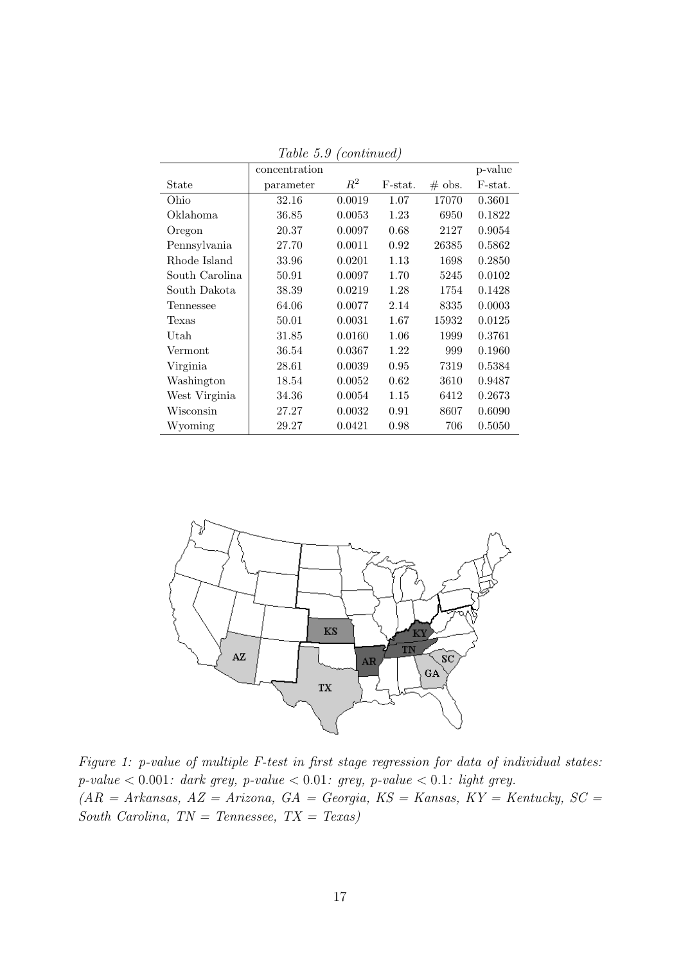|                | concentration |        |         |           | p-value |
|----------------|---------------|--------|---------|-----------|---------|
| State          | parameter     | $R^2$  | F-stat. | $\#$ obs. | F-stat. |
| Ohio           | 32.16         | 0.0019 | 1.07    | 17070     | 0.3601  |
| Oklahoma       | 36.85         | 0.0053 | 1.23    | 6950      | 0.1822  |
| Oregon         | 20.37         | 0.0097 | 0.68    | 2127      | 0.9054  |
| Pennsylvania   | 27.70         | 0.0011 | 0.92    | 26385     | 0.5862  |
| Rhode Island   | 33.96         | 0.0201 | 1.13    | 1698      | 0.2850  |
| South Carolina | 50.91         | 0.0097 | 1.70    | 5245      | 0.0102  |
| South Dakota   | 38.39         | 0.0219 | 1.28    | 1754      | 0.1428  |
| Tennessee      | 64.06         | 0.0077 | 2.14    | 8335      | 0.0003  |
| Texas          | 50.01         | 0.0031 | 1.67    | 15932     | 0.0125  |
| Utah           | 31.85         | 0.0160 | 1.06    | 1999      | 0.3761  |
| Vermont        | 36.54         | 0.0367 | 1.22    | 999       | 0.1960  |
| Virginia       | 28.61         | 0.0039 | 0.95    | 7319      | 0.5384  |
| Washington     | 18.54         | 0.0052 | 0.62    | 3610      | 0.9487  |
| West Virginia  | 34.36         | 0.0054 | 1.15    | 6412      | 0.2673  |
| Wisconsin      | 27.27         | 0.0032 | 0.91    | 8607      | 0.6090  |
| Wyoming        | 29.27         | 0.0421 | 0.98    | 706       | 0.5050  |

Table 5.9 (continued)



Figure 1: p-value of multiple F-test in first stage regression for data of individual states:  $p-value < 0.001$ : dark grey,  $p-value < 0.01$ : grey,  $p-value < 0.1$ : light grey.  $(AR = Arkansas, AZ = Arizona, GA = Georgia, KS = Kansas, KY = Kentucky, SC =$ South Carolina,  $TN = Tennessee, TX = Texas)$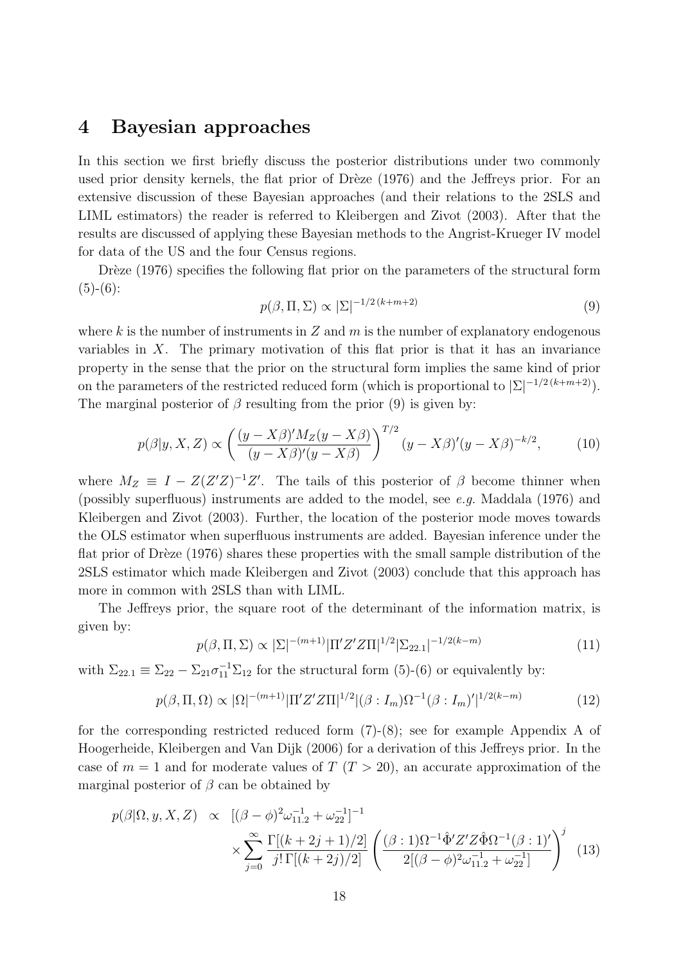### 4 Bayesian approaches

In this section we first briefly discuss the posterior distributions under two commonly used prior density kernels, the flat prior of Drèze (1976) and the Jeffreys prior. For an extensive discussion of these Bayesian approaches (and their relations to the 2SLS and LIML estimators) the reader is referred to Kleibergen and Zivot (2003). After that the results are discussed of applying these Bayesian methods to the Angrist-Krueger IV model for data of the US and the four Census regions.

Drèze (1976) specifies the following flat prior on the parameters of the structural form  $(5)-(6)$ :

$$
p(\beta, \Pi, \Sigma) \propto |\Sigma|^{-1/2(k+m+2)} \tag{9}
$$

where k is the number of instruments in  $Z$  and  $m$  is the number of explanatory endogenous variables in  $X$ . The primary motivation of this flat prior is that it has an invariance property in the sense that the prior on the structural form implies the same kind of prior on the parameters of the restricted reduced form (which is proportional to  $|\Sigma|^{-1/2(k+m+2)}$ ). The marginal posterior of  $\beta$  resulting from the prior (9) is given by:

$$
p(\beta|y, X, Z) \propto \left(\frac{(y - X\beta)'M_Z(y - X\beta)}{(y - X\beta)'(y - X\beta)}\right)^{T/2} (y - X\beta)'(y - X\beta)^{-k/2},\tag{10}
$$

where  $M_Z \equiv I - Z(Z'Z)^{-1}Z'$ . The tails of this posterior of  $\beta$  become thinner when (possibly superfluous) instruments are added to the model, see e.g. Maddala (1976) and Kleibergen and Zivot (2003). Further, the location of the posterior mode moves towards the OLS estimator when superfluous instruments are added. Bayesian inference under the flat prior of Drèze  $(1976)$  shares these properties with the small sample distribution of the 2SLS estimator which made Kleibergen and Zivot (2003) conclude that this approach has more in common with 2SLS than with LIML.

The Jeffreys prior, the square root of the determinant of the information matrix, is given by:

$$
p(\beta, \Pi, \Sigma) \propto |\Sigma|^{-(m+1)} |\Pi' Z' Z \Pi|^{1/2} |\Sigma_{22.1}|^{-1/2(k-m)} \tag{11}
$$

with  $\Sigma_{22.1} \equiv \Sigma_{22} - \Sigma_{21} \sigma_{11}^{-1} \Sigma_{12}$  for the structural form (5)-(6) or equivalently by:

$$
p(\beta, \Pi, \Omega) \propto |\Omega|^{-(m+1)} |\Pi' Z' Z \Pi|^{1/2} |(\beta : I_m) \Omega^{-1} (\beta : I_m)'|^{1/2(k-m)} \tag{12}
$$

for the corresponding restricted reduced form  $(7)-(8)$ ; see for example Appendix A of Hoogerheide, Kleibergen and Van Dijk (2006) for a derivation of this Jeffreys prior. In the case of  $m = 1$  and for moderate values of  $T (T > 20)$ , an accurate approximation of the marginal posterior of  $\beta$  can be obtained by

$$
p(\beta|\Omega, y, X, Z) \propto [(\beta - \phi)^2 \omega_{11.2}^{-1} + \omega_{22}^{-1}]^{-1}
$$
  
 
$$
\times \sum_{j=0}^{\infty} \frac{\Gamma[(k+2j+1)/2]}{j! \Gamma[(k+2j)/2]} \left( \frac{(\beta \cdot 1)\Omega^{-1} \hat{\Phi}' Z' Z \hat{\Phi} \Omega^{-1}(\beta \cdot 1)'}{2[(\beta - \phi)^2 \omega_{11.2}^{-1} + \omega_{22}^{-1}]} \right)^j
$$
(13)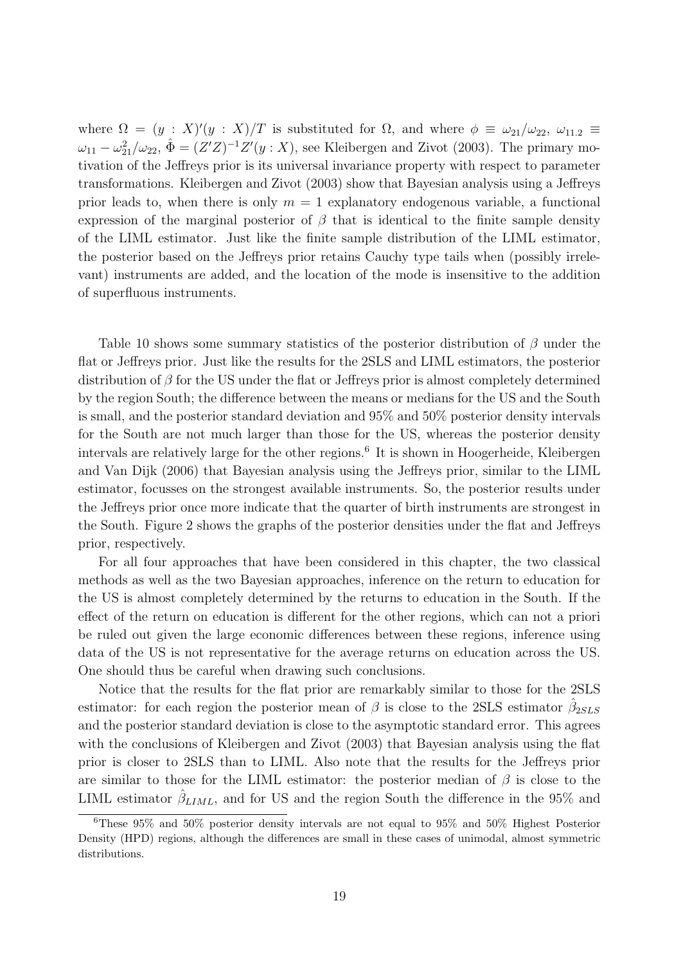where  $\Omega = (y : X)'(y : X)/T$  is substituted for  $\Omega$ , and where  $\phi \equiv \omega_{21}/\omega_{22}$ ,  $\omega_{11.2} \equiv$  $\omega_{11} - \omega_{21}^2/\omega_{22}$ ,  $\hat{\Phi} = (Z'Z)^{-1}Z'(y: X)$ , see Kleibergen and Zivot (2003). The primary motivation of the Jeffreys prior is its universal invariance property with respect to parameter transformations. Kleibergen and Zivot (2003) show that Bayesian analysis using a Jeffreys prior leads to, when there is only  $m = 1$  explanatory endogenous variable, a functional expression of the marginal posterior of  $\beta$  that is identical to the finite sample density of the LIML estimator. Just like the finite sample distribution of the LIML estimator, the posterior based on the Jeffreys prior retains Cauchy type tails when (possibly irrelevant) instruments are added, and the location of the mode is insensitive to the addition of superfluous instruments.

Table 10 shows some summary statistics of the posterior distribution of  $\beta$  under the flat or Jeffreys prior. Just like the results for the 2SLS and LIML estimators, the posterior distribution of  $\beta$  for the US under the flat or Jeffreys prior is almost completely determined by the region South; the difference between the means or medians for the US and the South is small, and the posterior standard deviation and 95% and 50% posterior density intervals for the South are not much larger than those for the US, whereas the posterior density intervals are relatively large for the other regions.<sup>6</sup> It is shown in Hoogerheide, Kleibergen and Van Dijk (2006) that Bayesian analysis using the Jeffreys prior, similar to the LIML estimator, focusses on the strongest available instruments. So, the posterior results under the Jeffreys prior once more indicate that the quarter of birth instruments are strongest in the South. Figure 2 shows the graphs of the posterior densities under the flat and Jeffreys prior, respectively.

For all four approaches that have been considered in this chapter, the two classical methods as well as the two Bayesian approaches, inference on the return to education for the US is almost completely determined by the returns to education in the South. If the effect of the return on education is different for the other regions, which can not a priori be ruled out given the large economic differences between these regions, inference using data of the US is not representative for the average returns on education across the US. One should thus be careful when drawing such conclusions.

Notice that the results for the flat prior are remarkably similar to those for the 2SLS estimator: for each region the posterior mean of  $\beta$  is close to the 2SLS estimator  $\hat{\beta}_{2SLS}$ and the posterior standard deviation is close to the asymptotic standard error. This agrees with the conclusions of Kleibergen and Zivot (2003) that Bayesian analysis using the flat prior is closer to 2SLS than to LIML. Also note that the results for the Jeffreys prior are similar to those for the LIML estimator: the posterior median of  $\beta$  is close to the LIML estimator  $\hat{\beta}_{LIML}$ , and for US and the region South the difference in the 95% and

<sup>6</sup>These 95% and 50% posterior density intervals are not equal to 95% and 50% Highest Posterior Density (HPD) regions, although the differences are small in these cases of unimodal, almost symmetric distributions.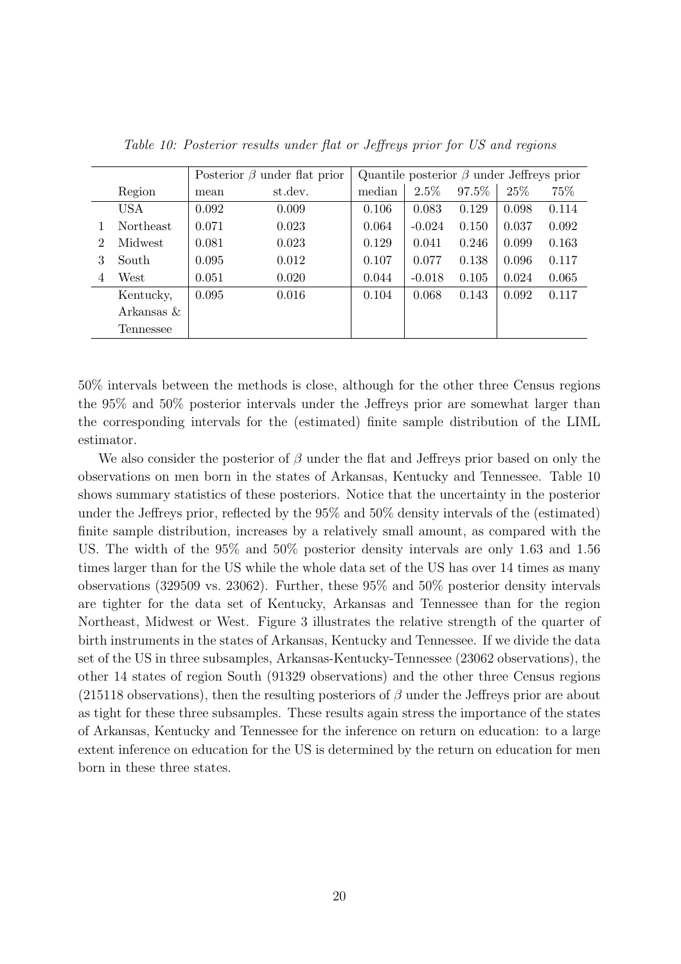|                             |                  | Posterior $\beta$ under flat prior |         |        | Quantile posterior $\beta$ under Jeffreys prior |       |       |       |  |
|-----------------------------|------------------|------------------------------------|---------|--------|-------------------------------------------------|-------|-------|-------|--|
|                             | Region           | mean                               | st.dev. | median | 2.5%                                            | 97.5% | 25\%  | 75%   |  |
|                             | <b>USA</b>       | 0.092                              | 0.009   | 0.106  | 0.083                                           | 0.129 | 0.098 | 0.114 |  |
|                             | <b>Northeast</b> | 0.071                              | 0.023   | 0.064  | $-0.024$                                        | 0.150 | 0.037 | 0.092 |  |
| $\mathcal{D}_{\mathcal{L}}$ | Midwest          | 0.081                              | 0.023   | 0.129  | 0.041                                           | 0.246 | 0.099 | 0.163 |  |
| 3                           | South            | 0.095                              | 0.012   | 0.107  | 0.077                                           | 0.138 | 0.096 | 0.117 |  |
| $\overline{4}$              | West             | 0.051                              | 0.020   | 0.044  | $-0.018$                                        | 0.105 | 0.024 | 0.065 |  |
|                             | Kentucky,        | 0.095                              | 0.016   | 0.104  | 0.068                                           | 0.143 | 0.092 | 0.117 |  |
|                             | Arkansas $\&$    |                                    |         |        |                                                 |       |       |       |  |
|                             | Tennessee        |                                    |         |        |                                                 |       |       |       |  |

Table 10: Posterior results under flat or Jeffreys prior for US and regions

50% intervals between the methods is close, although for the other three Census regions the 95% and 50% posterior intervals under the Jeffreys prior are somewhat larger than the corresponding intervals for the (estimated) finite sample distribution of the LIML estimator.

We also consider the posterior of  $\beta$  under the flat and Jeffreys prior based on only the observations on men born in the states of Arkansas, Kentucky and Tennessee. Table 10 shows summary statistics of these posteriors. Notice that the uncertainty in the posterior under the Jeffreys prior, reflected by the 95% and 50% density intervals of the (estimated) finite sample distribution, increases by a relatively small amount, as compared with the US. The width of the 95% and 50% posterior density intervals are only 1.63 and 1.56 times larger than for the US while the whole data set of the US has over 14 times as many observations (329509 vs. 23062). Further, these 95% and 50% posterior density intervals are tighter for the data set of Kentucky, Arkansas and Tennessee than for the region Northeast, Midwest or West. Figure 3 illustrates the relative strength of the quarter of birth instruments in the states of Arkansas, Kentucky and Tennessee. If we divide the data set of the US in three subsamples, Arkansas-Kentucky-Tennessee (23062 observations), the other 14 states of region South (91329 observations) and the other three Census regions (215118 observations), then the resulting posteriors of  $\beta$  under the Jeffreys prior are about as tight for these three subsamples. These results again stress the importance of the states of Arkansas, Kentucky and Tennessee for the inference on return on education: to a large extent inference on education for the US is determined by the return on education for men born in these three states.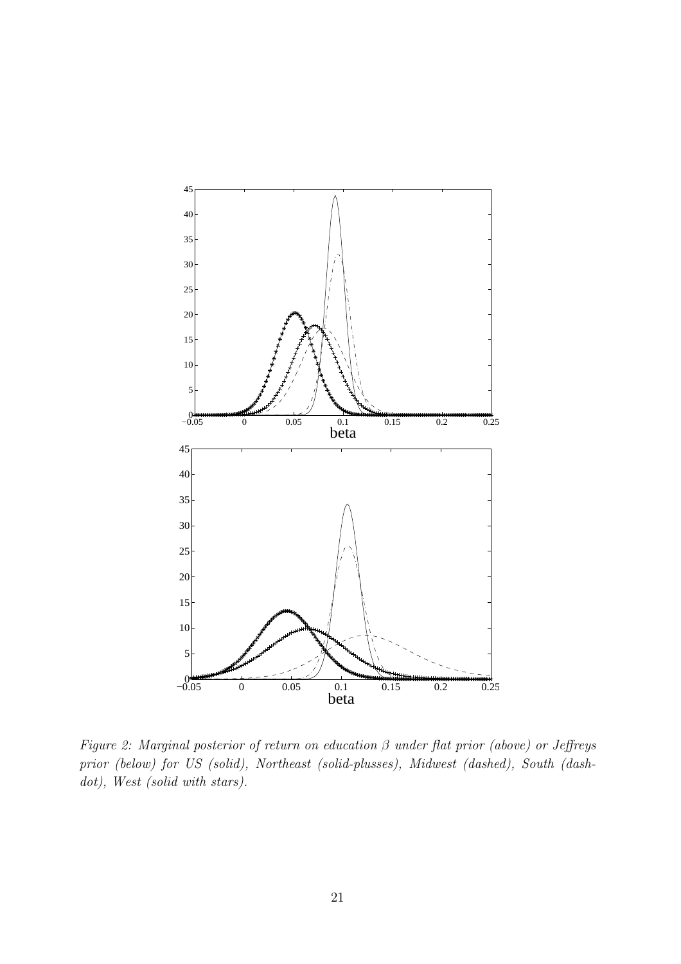

Figure 2: Marginal posterior of return on education  $\beta$  under flat prior (above) or Jeffreys prior (below) for US (solid), Northeast (solid-plusses), Midwest (dashed), South (dashdot), West (solid with stars).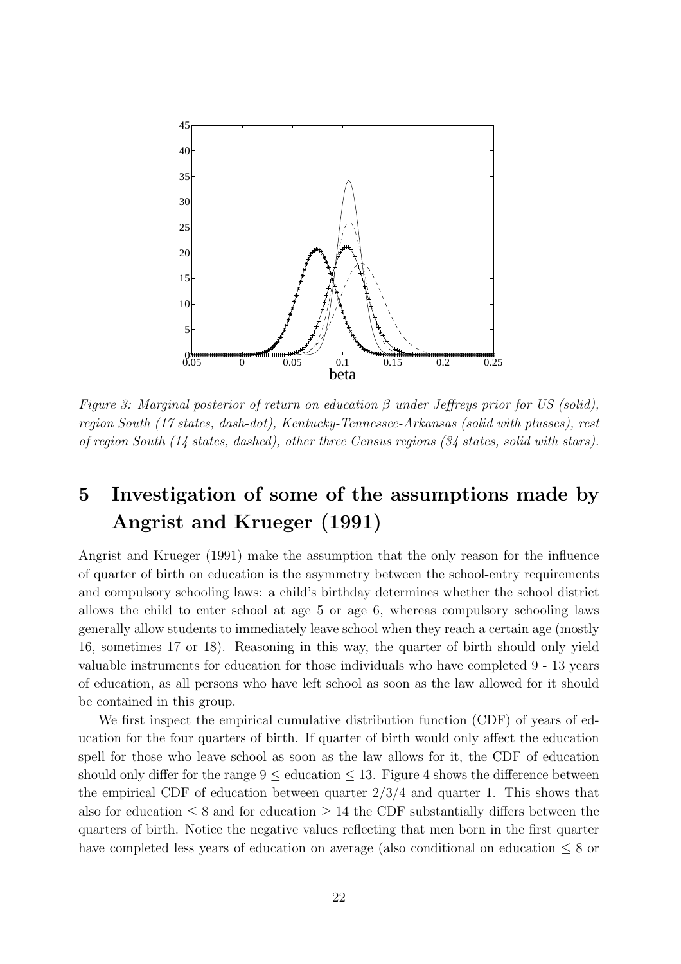

Figure 3: Marginal posterior of return on education  $\beta$  under Jeffreys prior for US (solid), region South (17 states, dash-dot), Kentucky-Tennessee-Arkansas (solid with plusses), rest of region South (14 states, dashed), other three Census regions (34 states, solid with stars).

## 5 Investigation of some of the assumptions made by Angrist and Krueger (1991)

Angrist and Krueger (1991) make the assumption that the only reason for the influence of quarter of birth on education is the asymmetry between the school-entry requirements and compulsory schooling laws: a child's birthday determines whether the school district allows the child to enter school at age 5 or age 6, whereas compulsory schooling laws generally allow students to immediately leave school when they reach a certain age (mostly 16, sometimes 17 or 18). Reasoning in this way, the quarter of birth should only yield valuable instruments for education for those individuals who have completed 9 - 13 years of education, as all persons who have left school as soon as the law allowed for it should be contained in this group.

We first inspect the empirical cumulative distribution function (CDF) of years of education for the four quarters of birth. If quarter of birth would only affect the education spell for those who leave school as soon as the law allows for it, the CDF of education should only differ for the range  $9 \leq$  education  $\leq 13$ . Figure 4 shows the difference between the empirical CDF of education between quarter  $2/3/4$  and quarter 1. This shows that also for education  $\leq 8$  and for education  $\geq 14$  the CDF substantially differs between the quarters of birth. Notice the negative values reflecting that men born in the first quarter have completed less years of education on average (also conditional on education ≤ 8 or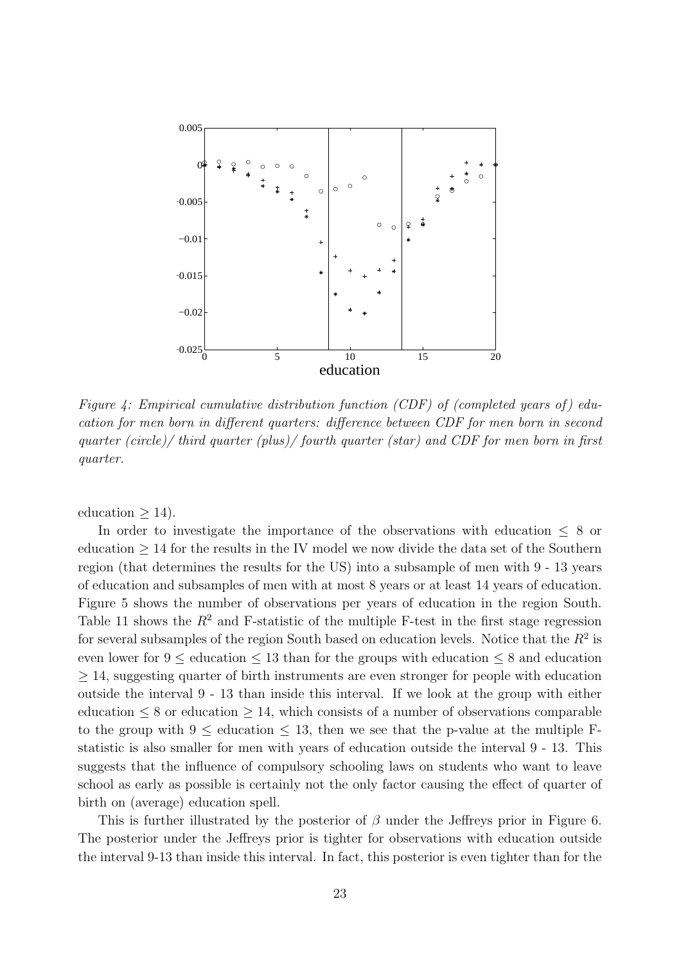

Figure 4: Empirical cumulative distribution function (CDF) of (completed years of) education for men born in different quarters: difference between CDF for men born in second quarter (circle)/ third quarter (plus)/ fourth quarter (star) and CDF for men born in first quarter.

education  $\geq$  14).

In order to investigate the importance of the observations with education  $\leq 8$  or education  $\geq$  14 for the results in the IV model we now divide the data set of the Southern region (that determines the results for the US) into a subsample of men with 9 - 13 years of education and subsamples of men with at most 8 years or at least 14 years of education. Figure 5 shows the number of observations per years of education in the region South. Table 11 shows the  $R^2$  and F-statistic of the multiple F-test in the first stage regression for several subsamples of the region South based on education levels. Notice that the  $R^2$  is even lower for  $9 \leq$  education  $\leq 13$  than for the groups with education  $\leq 8$  and education ≥ 14, suggesting quarter of birth instruments are even stronger for people with education outside the interval 9 - 13 than inside this interval. If we look at the group with either education  $\leq 8$  or education  $\geq 14$ , which consists of a number of observations comparable to the group with  $9 \leq$  education  $\leq 13$ , then we see that the p-value at the multiple Fstatistic is also smaller for men with years of education outside the interval 9 - 13. This suggests that the influence of compulsory schooling laws on students who want to leave school as early as possible is certainly not the only factor causing the effect of quarter of birth on (average) education spell.

This is further illustrated by the posterior of  $\beta$  under the Jeffreys prior in Figure 6. The posterior under the Jeffreys prior is tighter for observations with education outside the interval 9-13 than inside this interval. In fact, this posterior is even tighter than for the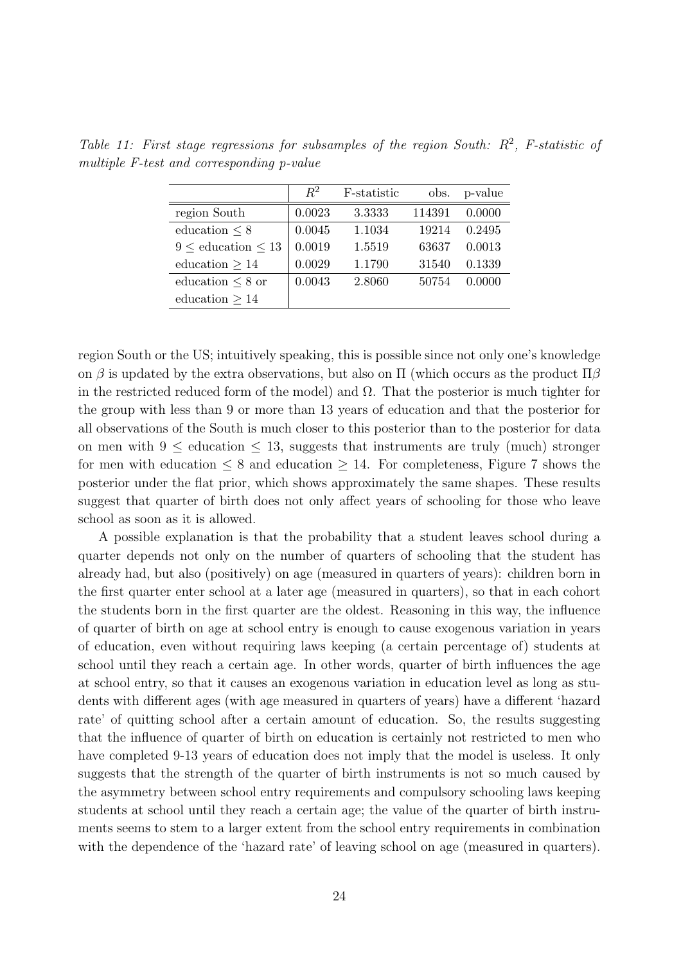|                              | $R^2$  | F-statistic | obs.   | p-value |
|------------------------------|--------|-------------|--------|---------|
| region South                 | 0.0023 | 3.3333      | 114391 | 0.0000  |
| education $\leq 8$           | 0.0045 | 1.1034      | 19214  | 0.2495  |
| $9 \leq$ education $\leq 13$ | 0.0019 | 1.5519      | 63637  | 0.0013  |
| education $>14$              | 0.0029 | 1.1790      | 31540  | 0.1339  |
| education $\leq 8$ or        | 0.0043 | 2.8060      | 50754  | 0.0000  |
| education $>14$              |        |             |        |         |

Table 11: First stage regressions for subsamples of the region South:  $R^2$ , F-statistic of multiple F-test and corresponding p-value

region South or the US; intuitively speaking, this is possible since not only one's knowledge on β is updated by the extra observations, but also on  $\Pi$  (which occurs as the product  $\Pi$ β in the restricted reduced form of the model) and  $\Omega$ . That the posterior is much tighter for the group with less than 9 or more than 13 years of education and that the posterior for all observations of the South is much closer to this posterior than to the posterior for data on men with  $9 \leq$  education  $\leq 13$ , suggests that instruments are truly (much) stronger for men with education  $\leq 8$  and education  $\geq 14$ . For completeness, Figure 7 shows the posterior under the flat prior, which shows approximately the same shapes. These results suggest that quarter of birth does not only affect years of schooling for those who leave school as soon as it is allowed.

A possible explanation is that the probability that a student leaves school during a quarter depends not only on the number of quarters of schooling that the student has already had, but also (positively) on age (measured in quarters of years): children born in the first quarter enter school at a later age (measured in quarters), so that in each cohort the students born in the first quarter are the oldest. Reasoning in this way, the influence of quarter of birth on age at school entry is enough to cause exogenous variation in years of education, even without requiring laws keeping (a certain percentage of) students at school until they reach a certain age. In other words, quarter of birth influences the age at school entry, so that it causes an exogenous variation in education level as long as students with different ages (with age measured in quarters of years) have a different 'hazard rate' of quitting school after a certain amount of education. So, the results suggesting that the influence of quarter of birth on education is certainly not restricted to men who have completed 9-13 years of education does not imply that the model is useless. It only suggests that the strength of the quarter of birth instruments is not so much caused by the asymmetry between school entry requirements and compulsory schooling laws keeping students at school until they reach a certain age; the value of the quarter of birth instruments seems to stem to a larger extent from the school entry requirements in combination with the dependence of the 'hazard rate' of leaving school on age (measured in quarters).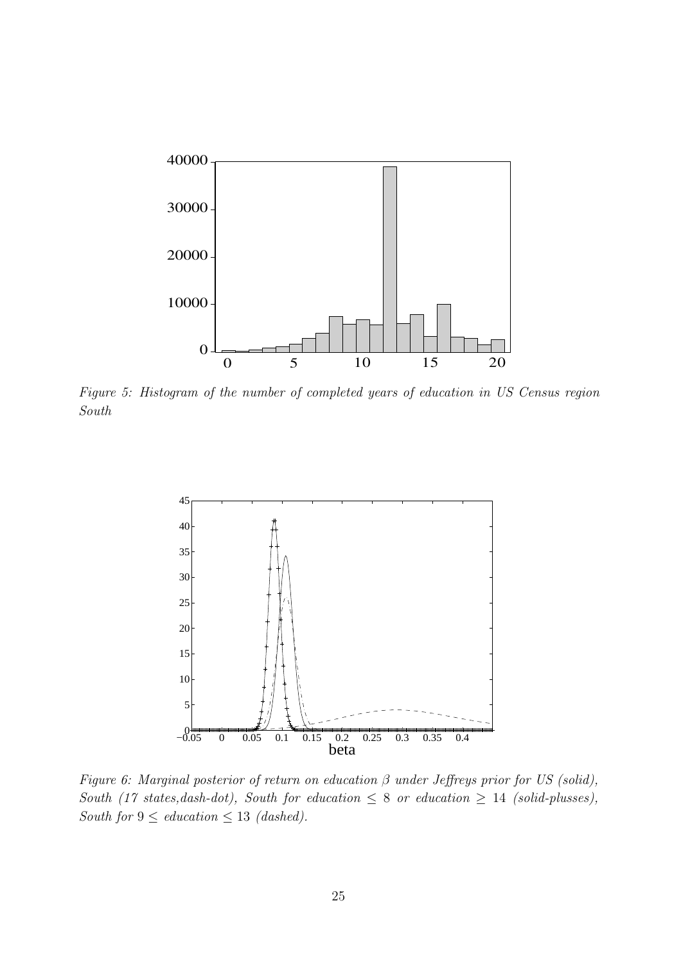

Figure 5: Histogram of the number of completed years of education in US Census region South



Figure 6: Marginal posterior of return on education  $\beta$  under Jeffreys prior for US (solid), South (17 states, dash-dot), South for education  $\leq 8$  or education  $\geq 14$  (solid-plusses), South for  $9 \leq$  education  $\leq 13$  (dashed).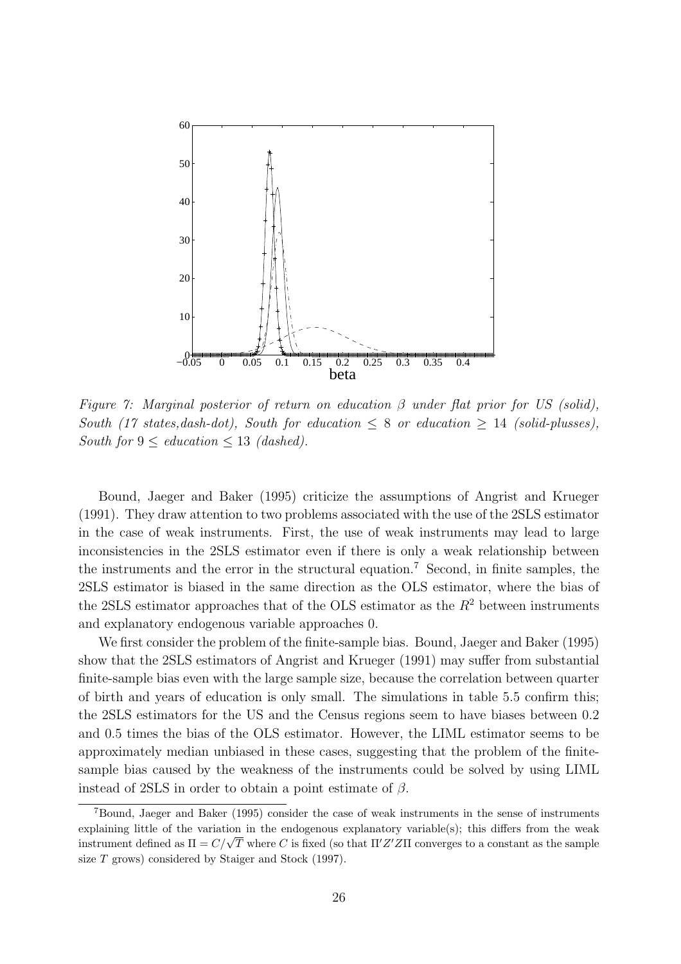

Figure 7: Marginal posterior of return on education  $\beta$  under flat prior for US (solid), South (17 states, dash-dot), South for education  $\leq 8$  or education  $\geq 14$  (solid-plusses), South for  $9 \leq$  education  $\leq 13$  (dashed).

Bound, Jaeger and Baker (1995) criticize the assumptions of Angrist and Krueger (1991). They draw attention to two problems associated with the use of the 2SLS estimator in the case of weak instruments. First, the use of weak instruments may lead to large inconsistencies in the 2SLS estimator even if there is only a weak relationship between the instruments and the error in the structural equation.<sup>7</sup> Second, in finite samples, the 2SLS estimator is biased in the same direction as the OLS estimator, where the bias of the 2SLS estimator approaches that of the OLS estimator as the  $R^2$  between instruments and explanatory endogenous variable approaches 0.

We first consider the problem of the finite-sample bias. Bound, Jaeger and Baker (1995) show that the 2SLS estimators of Angrist and Krueger (1991) may suffer from substantial finite-sample bias even with the large sample size, because the correlation between quarter of birth and years of education is only small. The simulations in table 5.5 confirm this; the 2SLS estimators for the US and the Census regions seem to have biases between 0.2 and 0.5 times the bias of the OLS estimator. However, the LIML estimator seems to be approximately median unbiased in these cases, suggesting that the problem of the finitesample bias caused by the weakness of the instruments could be solved by using LIML instead of 2SLS in order to obtain a point estimate of  $\beta$ .

<sup>7</sup>Bound, Jaeger and Baker (1995) consider the case of weak instruments in the sense of instruments explaining little of the variation in the endogenous explanatory variable(s); this differs from the weak explaining intite of the variation in the endogenous explanatory variable(s); this different form the weak<br>instrument defined as  $\Pi = C/\sqrt{T}$  where C is fixed (so that  $\Pi'Z'Z\Pi$  converges to a constant as the sample size T grows) considered by Staiger and Stock (1997).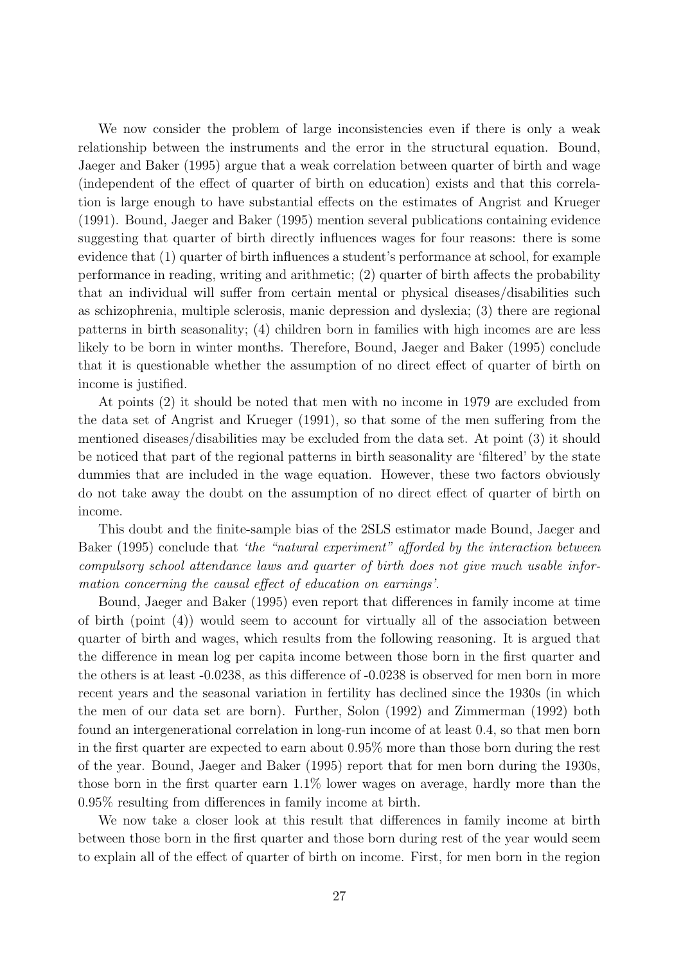We now consider the problem of large inconsistencies even if there is only a weak relationship between the instruments and the error in the structural equation. Bound, Jaeger and Baker (1995) argue that a weak correlation between quarter of birth and wage (independent of the effect of quarter of birth on education) exists and that this correlation is large enough to have substantial effects on the estimates of Angrist and Krueger (1991). Bound, Jaeger and Baker (1995) mention several publications containing evidence suggesting that quarter of birth directly influences wages for four reasons: there is some evidence that (1) quarter of birth influences a student's performance at school, for example performance in reading, writing and arithmetic; (2) quarter of birth affects the probability that an individual will suffer from certain mental or physical diseases/disabilities such as schizophrenia, multiple sclerosis, manic depression and dyslexia; (3) there are regional patterns in birth seasonality; (4) children born in families with high incomes are are less likely to be born in winter months. Therefore, Bound, Jaeger and Baker (1995) conclude that it is questionable whether the assumption of no direct effect of quarter of birth on income is justified.

At points (2) it should be noted that men with no income in 1979 are excluded from the data set of Angrist and Krueger (1991), so that some of the men suffering from the mentioned diseases/disabilities may be excluded from the data set. At point (3) it should be noticed that part of the regional patterns in birth seasonality are 'filtered' by the state dummies that are included in the wage equation. However, these two factors obviously do not take away the doubt on the assumption of no direct effect of quarter of birth on income.

This doubt and the finite-sample bias of the 2SLS estimator made Bound, Jaeger and Baker (1995) conclude that 'the "natural experiment" afforded by the interaction between compulsory school attendance laws and quarter of birth does not give much usable information concerning the causal effect of education on earnings'.

Bound, Jaeger and Baker (1995) even report that differences in family income at time of birth (point (4)) would seem to account for virtually all of the association between quarter of birth and wages, which results from the following reasoning. It is argued that the difference in mean log per capita income between those born in the first quarter and the others is at least -0.0238, as this difference of -0.0238 is observed for men born in more recent years and the seasonal variation in fertility has declined since the 1930s (in which the men of our data set are born). Further, Solon (1992) and Zimmerman (1992) both found an intergenerational correlation in long-run income of at least 0.4, so that men born in the first quarter are expected to earn about 0.95% more than those born during the rest of the year. Bound, Jaeger and Baker (1995) report that for men born during the 1930s, those born in the first quarter earn 1.1% lower wages on average, hardly more than the 0.95% resulting from differences in family income at birth.

We now take a closer look at this result that differences in family income at birth between those born in the first quarter and those born during rest of the year would seem to explain all of the effect of quarter of birth on income. First, for men born in the region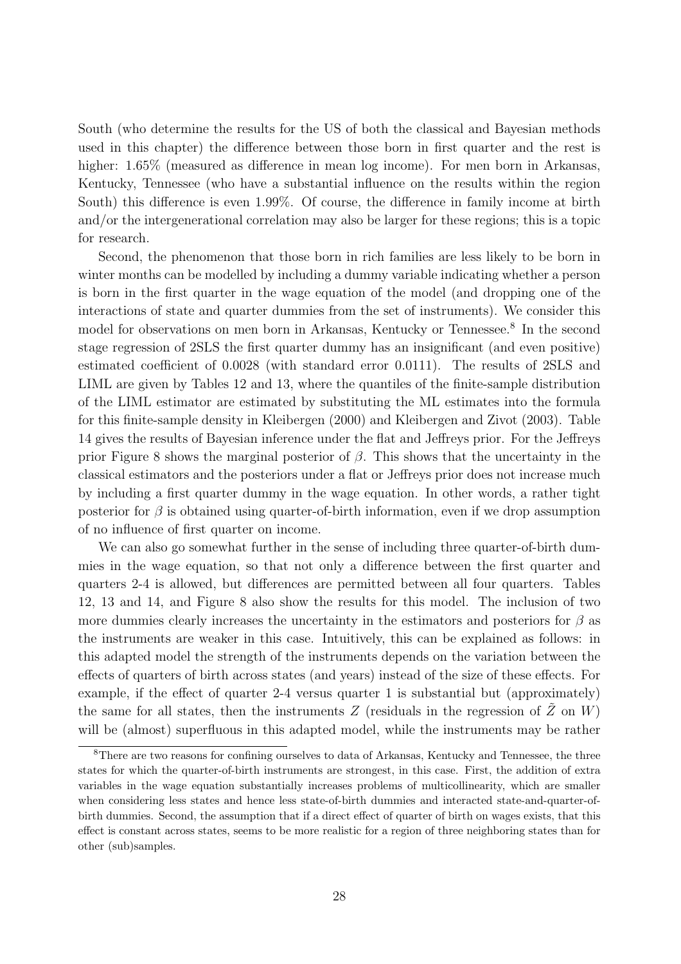South (who determine the results for the US of both the classical and Bayesian methods used in this chapter) the difference between those born in first quarter and the rest is higher:  $1.65\%$  (measured as difference in mean log income). For men born in Arkansas, Kentucky, Tennessee (who have a substantial influence on the results within the region South) this difference is even 1.99%. Of course, the difference in family income at birth and/or the intergenerational correlation may also be larger for these regions; this is a topic for research.

Second, the phenomenon that those born in rich families are less likely to be born in winter months can be modelled by including a dummy variable indicating whether a person is born in the first quarter in the wage equation of the model (and dropping one of the interactions of state and quarter dummies from the set of instruments). We consider this model for observations on men born in Arkansas, Kentucky or Tennessee.<sup>8</sup> In the second stage regression of 2SLS the first quarter dummy has an insignificant (and even positive) estimated coefficient of 0.0028 (with standard error 0.0111). The results of 2SLS and LIML are given by Tables 12 and 13, where the quantiles of the finite-sample distribution of the LIML estimator are estimated by substituting the ML estimates into the formula for this finite-sample density in Kleibergen (2000) and Kleibergen and Zivot (2003). Table 14 gives the results of Bayesian inference under the flat and Jeffreys prior. For the Jeffreys prior Figure 8 shows the marginal posterior of  $\beta$ . This shows that the uncertainty in the classical estimators and the posteriors under a flat or Jeffreys prior does not increase much by including a first quarter dummy in the wage equation. In other words, a rather tight posterior for  $\beta$  is obtained using quarter-of-birth information, even if we drop assumption of no influence of first quarter on income.

We can also go somewhat further in the sense of including three quarter-of-birth dummies in the wage equation, so that not only a difference between the first quarter and quarters 2-4 is allowed, but differences are permitted between all four quarters. Tables 12, 13 and 14, and Figure 8 also show the results for this model. The inclusion of two more dummies clearly increases the uncertainty in the estimators and posteriors for  $\beta$  as the instruments are weaker in this case. Intuitively, this can be explained as follows: in this adapted model the strength of the instruments depends on the variation between the effects of quarters of birth across states (and years) instead of the size of these effects. For example, if the effect of quarter 2-4 versus quarter 1 is substantial but (approximately) the same for all states, then the instruments Z (residuals in the regression of  $\tilde{Z}$  on W) will be (almost) superfluous in this adapted model, while the instruments may be rather

<sup>&</sup>lt;sup>8</sup>There are two reasons for confining ourselves to data of Arkansas, Kentucky and Tennessee, the three states for which the quarter-of-birth instruments are strongest, in this case. First, the addition of extra variables in the wage equation substantially increases problems of multicollinearity, which are smaller when considering less states and hence less state-of-birth dummies and interacted state-and-quarter-ofbirth dummies. Second, the assumption that if a direct effect of quarter of birth on wages exists, that this effect is constant across states, seems to be more realistic for a region of three neighboring states than for other (sub)samples.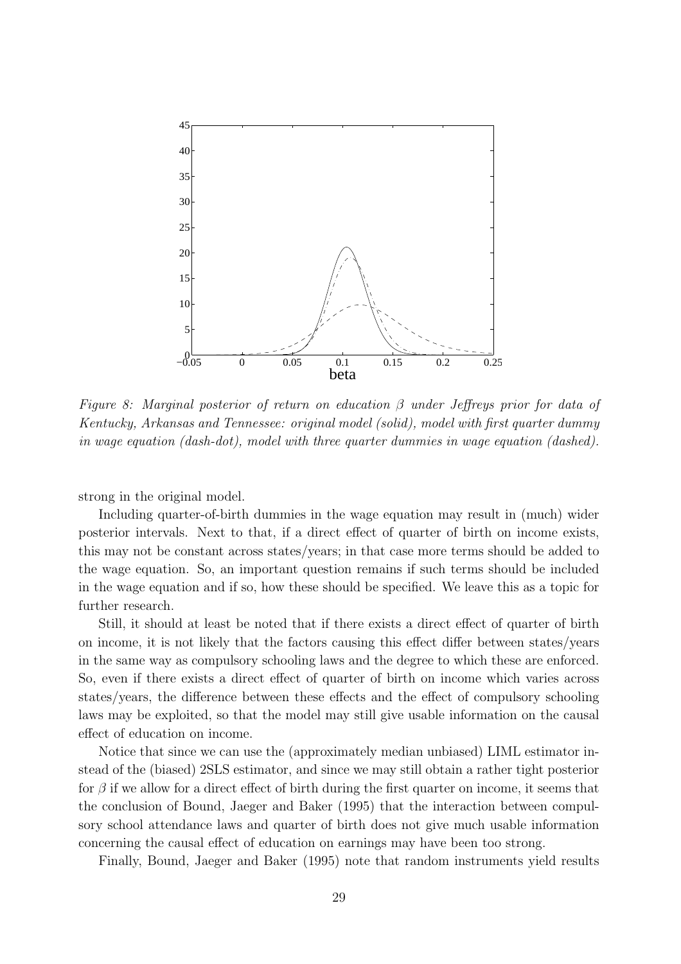

Figure 8: Marginal posterior of return on education  $\beta$  under Jeffreys prior for data of Kentucky, Arkansas and Tennessee: original model (solid), model with first quarter dummy in wage equation (dash-dot), model with three quarter dummies in wage equation (dashed).

strong in the original model.

Including quarter-of-birth dummies in the wage equation may result in (much) wider posterior intervals. Next to that, if a direct effect of quarter of birth on income exists, this may not be constant across states/years; in that case more terms should be added to the wage equation. So, an important question remains if such terms should be included in the wage equation and if so, how these should be specified. We leave this as a topic for further research.

Still, it should at least be noted that if there exists a direct effect of quarter of birth on income, it is not likely that the factors causing this effect differ between states/years in the same way as compulsory schooling laws and the degree to which these are enforced. So, even if there exists a direct effect of quarter of birth on income which varies across states/years, the difference between these effects and the effect of compulsory schooling laws may be exploited, so that the model may still give usable information on the causal effect of education on income.

Notice that since we can use the (approximately median unbiased) LIML estimator instead of the (biased) 2SLS estimator, and since we may still obtain a rather tight posterior for  $\beta$  if we allow for a direct effect of birth during the first quarter on income, it seems that the conclusion of Bound, Jaeger and Baker (1995) that the interaction between compulsory school attendance laws and quarter of birth does not give much usable information concerning the causal effect of education on earnings may have been too strong.

Finally, Bound, Jaeger and Baker (1995) note that random instruments yield results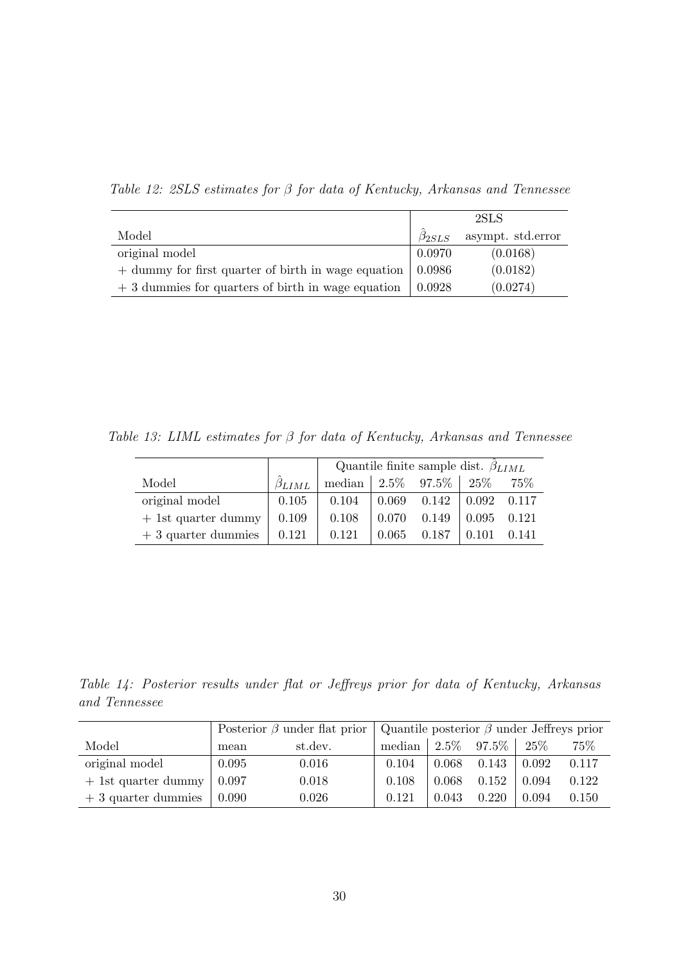Table 12: 2SLS estimates for β for data of Kentucky, Arkansas and Tennessee

|                                                     | 2SLS           |                   |  |  |
|-----------------------------------------------------|----------------|-------------------|--|--|
| Model                                               | $\beta_{2SLS}$ | asympt. std.error |  |  |
| original model                                      | 0.0970         | (0.0168)          |  |  |
| + dummy for first quarter of birth in wage equation | 0.0986         | (0.0182)          |  |  |
| $+3$ dummies for quarters of birth in wage equation | 0.0928         | (0.0274)          |  |  |

Table 13: LIML estimates for β for data of Kentucky, Arkansas and Tennessee

|                       |                | Quantile finite sample dist. $\beta_{LIML}$ |       |                 |               |       |  |
|-----------------------|----------------|---------------------------------------------|-------|-----------------|---------------|-------|--|
| Model                 | $\beta_{LIML}$ | median   $2.5\%$ 97.5\%   $25\%$            |       |                 |               | 75%   |  |
| original model        | 0.105          | 0.104                                       |       | $0.069$ $0.142$ | $0.092$ 0.117 |       |  |
| $+$ 1st quarter dummy | 0.109          | 0.108                                       | 0.070 | 0.149           | 0.095         | 0.121 |  |
| $+3$ quarter dummies  | 0.121          | 0.121                                       | 0.065 | 0.187           | 0.101         | 0.141 |  |

Table 14: Posterior results under flat or Jeffreys prior for data of Kentucky, Arkansas and Tennessee

|                       |       | Posterior $\beta$ under flat prior | Quantile posterior $\beta$ under Jeffreys prior |       |               |       |       |
|-----------------------|-------|------------------------------------|-------------------------------------------------|-------|---------------|-------|-------|
| Model                 | mean  | st.dev.                            | median                                          |       | $2.5\%$ 97.5% | 25\%  | 75%   |
| original model        | 0.095 | 0.016                              | 0.104                                           | 0.068 | 0.143         | 0.092 | 0.117 |
| $+$ 1st quarter dummy | 0.097 | 0.018                              | 0.108                                           | 0.068 | 0.152         | 0.094 | 0.122 |
| $+3$ quarter dummies  | 0.090 | 0.026                              | 0.121                                           | 0.043 | 0.220         | 0.094 | 0.150 |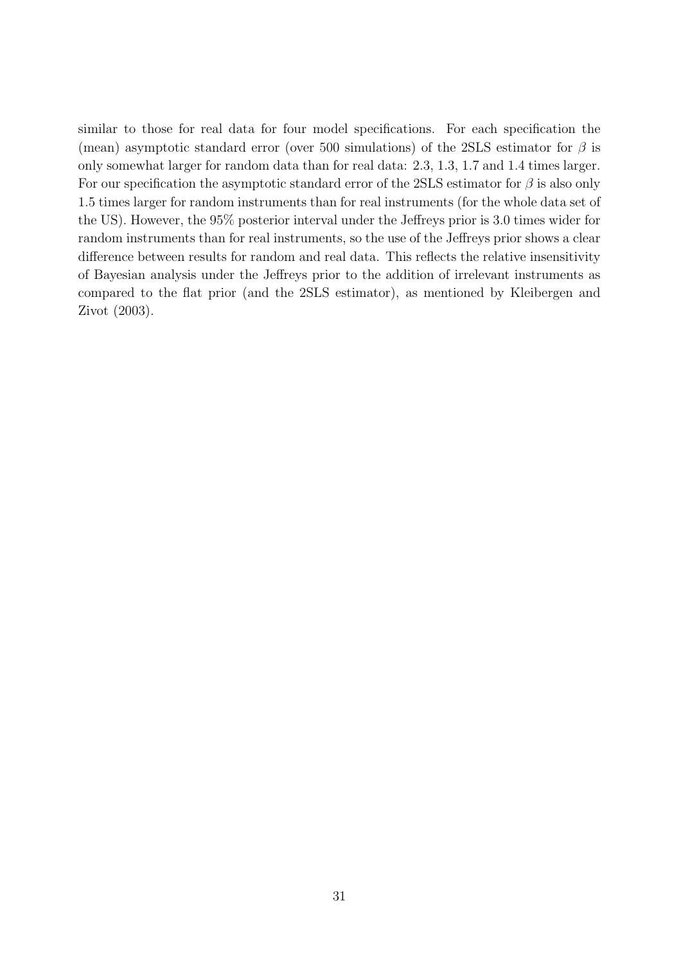similar to those for real data for four model specifications. For each specification the (mean) asymptotic standard error (over 500 simulations) of the 2SLS estimator for  $\beta$  is only somewhat larger for random data than for real data: 2.3, 1.3, 1.7 and 1.4 times larger. For our specification the asymptotic standard error of the 2SLS estimator for  $\beta$  is also only 1.5 times larger for random instruments than for real instruments (for the whole data set of the US). However, the 95% posterior interval under the Jeffreys prior is 3.0 times wider for random instruments than for real instruments, so the use of the Jeffreys prior shows a clear difference between results for random and real data. This reflects the relative insensitivity of Bayesian analysis under the Jeffreys prior to the addition of irrelevant instruments as compared to the flat prior (and the 2SLS estimator), as mentioned by Kleibergen and Zivot (2003).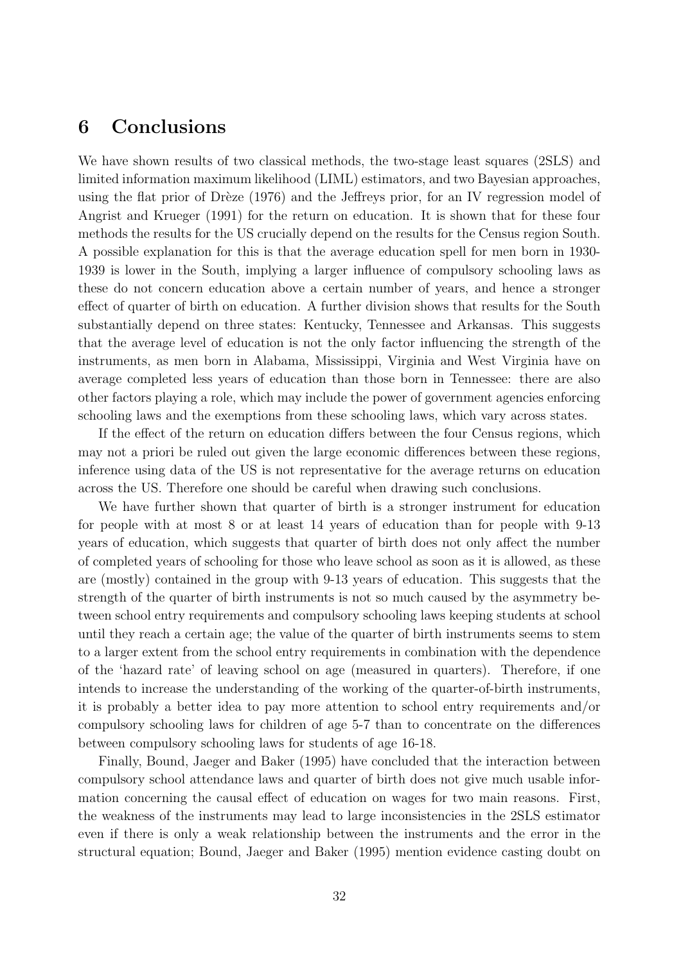#### 6 Conclusions

We have shown results of two classical methods, the two-stage least squares (2SLS) and limited information maximum likelihood (LIML) estimators, and two Bayesian approaches, using the flat prior of Drèze  $(1976)$  and the Jeffreys prior, for an IV regression model of Angrist and Krueger (1991) for the return on education. It is shown that for these four methods the results for the US crucially depend on the results for the Census region South. A possible explanation for this is that the average education spell for men born in 1930- 1939 is lower in the South, implying a larger influence of compulsory schooling laws as these do not concern education above a certain number of years, and hence a stronger effect of quarter of birth on education. A further division shows that results for the South substantially depend on three states: Kentucky, Tennessee and Arkansas. This suggests that the average level of education is not the only factor influencing the strength of the instruments, as men born in Alabama, Mississippi, Virginia and West Virginia have on average completed less years of education than those born in Tennessee: there are also other factors playing a role, which may include the power of government agencies enforcing schooling laws and the exemptions from these schooling laws, which vary across states.

If the effect of the return on education differs between the four Census regions, which may not a priori be ruled out given the large economic differences between these regions, inference using data of the US is not representative for the average returns on education across the US. Therefore one should be careful when drawing such conclusions.

We have further shown that quarter of birth is a stronger instrument for education for people with at most 8 or at least 14 years of education than for people with 9-13 years of education, which suggests that quarter of birth does not only affect the number of completed years of schooling for those who leave school as soon as it is allowed, as these are (mostly) contained in the group with 9-13 years of education. This suggests that the strength of the quarter of birth instruments is not so much caused by the asymmetry between school entry requirements and compulsory schooling laws keeping students at school until they reach a certain age; the value of the quarter of birth instruments seems to stem to a larger extent from the school entry requirements in combination with the dependence of the 'hazard rate' of leaving school on age (measured in quarters). Therefore, if one intends to increase the understanding of the working of the quarter-of-birth instruments, it is probably a better idea to pay more attention to school entry requirements and/or compulsory schooling laws for children of age 5-7 than to concentrate on the differences between compulsory schooling laws for students of age 16-18.

Finally, Bound, Jaeger and Baker (1995) have concluded that the interaction between compulsory school attendance laws and quarter of birth does not give much usable information concerning the causal effect of education on wages for two main reasons. First, the weakness of the instruments may lead to large inconsistencies in the 2SLS estimator even if there is only a weak relationship between the instruments and the error in the structural equation; Bound, Jaeger and Baker (1995) mention evidence casting doubt on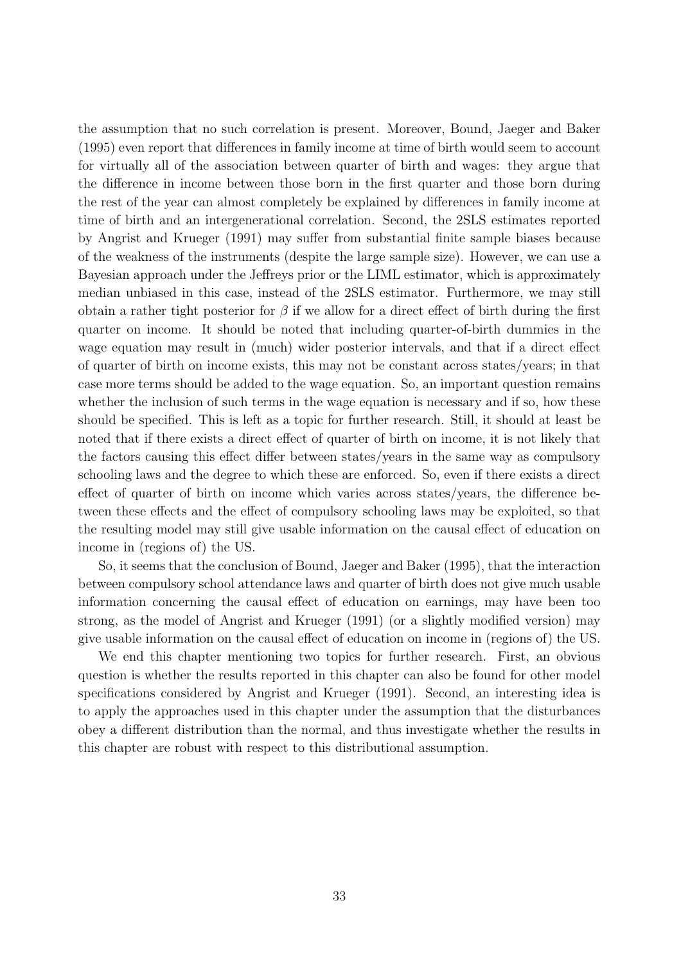the assumption that no such correlation is present. Moreover, Bound, Jaeger and Baker (1995) even report that differences in family income at time of birth would seem to account for virtually all of the association between quarter of birth and wages: they argue that the difference in income between those born in the first quarter and those born during the rest of the year can almost completely be explained by differences in family income at time of birth and an intergenerational correlation. Second, the 2SLS estimates reported by Angrist and Krueger (1991) may suffer from substantial finite sample biases because of the weakness of the instruments (despite the large sample size). However, we can use a Bayesian approach under the Jeffreys prior or the LIML estimator, which is approximately median unbiased in this case, instead of the 2SLS estimator. Furthermore, we may still obtain a rather tight posterior for  $\beta$  if we allow for a direct effect of birth during the first quarter on income. It should be noted that including quarter-of-birth dummies in the wage equation may result in (much) wider posterior intervals, and that if a direct effect of quarter of birth on income exists, this may not be constant across states/years; in that case more terms should be added to the wage equation. So, an important question remains whether the inclusion of such terms in the wage equation is necessary and if so, how these should be specified. This is left as a topic for further research. Still, it should at least be noted that if there exists a direct effect of quarter of birth on income, it is not likely that the factors causing this effect differ between states/years in the same way as compulsory schooling laws and the degree to which these are enforced. So, even if there exists a direct effect of quarter of birth on income which varies across states/years, the difference between these effects and the effect of compulsory schooling laws may be exploited, so that the resulting model may still give usable information on the causal effect of education on income in (regions of) the US.

So, it seems that the conclusion of Bound, Jaeger and Baker (1995), that the interaction between compulsory school attendance laws and quarter of birth does not give much usable information concerning the causal effect of education on earnings, may have been too strong, as the model of Angrist and Krueger (1991) (or a slightly modified version) may give usable information on the causal effect of education on income in (regions of) the US.

We end this chapter mentioning two topics for further research. First, an obvious question is whether the results reported in this chapter can also be found for other model specifications considered by Angrist and Krueger (1991). Second, an interesting idea is to apply the approaches used in this chapter under the assumption that the disturbances obey a different distribution than the normal, and thus investigate whether the results in this chapter are robust with respect to this distributional assumption.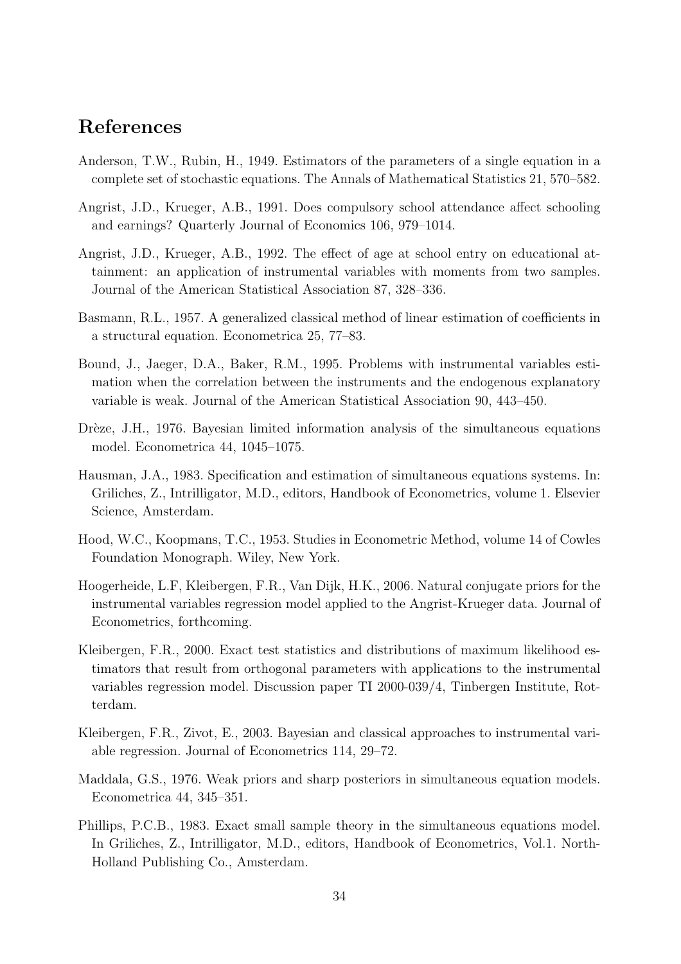#### References

- Anderson, T.W., Rubin, H., 1949. Estimators of the parameters of a single equation in a complete set of stochastic equations. The Annals of Mathematical Statistics 21, 570–582.
- Angrist, J.D., Krueger, A.B., 1991. Does compulsory school attendance affect schooling and earnings? Quarterly Journal of Economics 106, 979–1014.
- Angrist, J.D., Krueger, A.B., 1992. The effect of age at school entry on educational attainment: an application of instrumental variables with moments from two samples. Journal of the American Statistical Association 87, 328–336.
- Basmann, R.L., 1957. A generalized classical method of linear estimation of coefficients in a structural equation. Econometrica 25, 77–83.
- Bound, J., Jaeger, D.A., Baker, R.M., 1995. Problems with instrumental variables estimation when the correlation between the instruments and the endogenous explanatory variable is weak. Journal of the American Statistical Association 90, 443–450.
- Drèze, J.H., 1976. Bayesian limited information analysis of the simultaneous equations model. Econometrica 44, 1045–1075.
- Hausman, J.A., 1983. Specification and estimation of simultaneous equations systems. In: Griliches, Z., Intrilligator, M.D., editors, Handbook of Econometrics, volume 1. Elsevier Science, Amsterdam.
- Hood, W.C., Koopmans, T.C., 1953. Studies in Econometric Method, volume 14 of Cowles Foundation Monograph. Wiley, New York.
- Hoogerheide, L.F, Kleibergen, F.R., Van Dijk, H.K., 2006. Natural conjugate priors for the instrumental variables regression model applied to the Angrist-Krueger data. Journal of Econometrics, forthcoming.
- Kleibergen, F.R., 2000. Exact test statistics and distributions of maximum likelihood estimators that result from orthogonal parameters with applications to the instrumental variables regression model. Discussion paper TI 2000-039/4, Tinbergen Institute, Rotterdam.
- Kleibergen, F.R., Zivot, E., 2003. Bayesian and classical approaches to instrumental variable regression. Journal of Econometrics 114, 29–72.
- Maddala, G.S., 1976. Weak priors and sharp posteriors in simultaneous equation models. Econometrica 44, 345–351.
- Phillips, P.C.B., 1983. Exact small sample theory in the simultaneous equations model. In Griliches, Z., Intrilligator, M.D., editors, Handbook of Econometrics, Vol.1. North-Holland Publishing Co., Amsterdam.